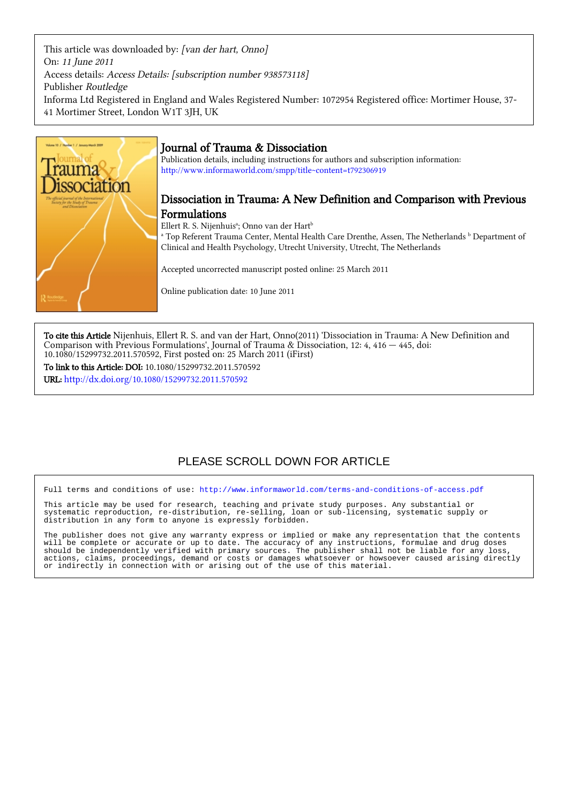This article was downloaded by: [van der hart, Onno] On: 11 June 2011 Access details: Access Details: [subscription number 938573118] Publisher Routledge Informa Ltd Registered in England and Wales Registered Number: 1072954 Registered office: Mortimer House, 37- 41 Mortimer Street, London W1T 3JH, UK



## Journal of Trauma & Dissociation

Publication details, including instructions for authors and subscription information: <http://www.informaworld.com/smpp/title~content=t792306919>

## Dissociation in Trauma: A New Definition and Comparison with Previous Formulations

Ellert R. S. Nijenhuisª; Onno van der Hart<sup>b</sup>

<sup>a</sup> Top Referent Trauma Center, Mental Health Care Drenthe, Assen, The Netherlands <sup>b</sup> Department of Clinical and Health Psychology, Utrecht University, Utrecht, The Netherlands

Accepted uncorrected manuscript posted online: 25 March 2011

Online publication date: 10 June 2011

To cite this Article Nijenhuis, Ellert R. S. and van der Hart, Onno(2011) 'Dissociation in Trauma: A New Definition and Comparison with Previous Formulations', Journal of Trauma & Dissociation, 12: 4, 416 — 445, doi: 10.1080/15299732.2011.570592, First posted on: 25 March 2011 (iFirst)

To link to this Article: DOI: 10.1080/15299732.2011.570592 URL: <http://dx.doi.org/10.1080/15299732.2011.570592>

# PLEASE SCROLL DOWN FOR ARTICLE

Full terms and conditions of use:<http://www.informaworld.com/terms-and-conditions-of-access.pdf>

This article may be used for research, teaching and private study purposes. Any substantial or systematic reproduction, re-distribution, re-selling, loan or sub-licensing, systematic supply or distribution in any form to anyone is expressly forbidden.

The publisher does not give any warranty express or implied or make any representation that the contents will be complete or accurate or up to date. The accuracy of any instructions, formulae and drug doses should be independently verified with primary sources. The publisher shall not be liable for any loss, actions, claims, proceedings, demand or costs or damages whatsoever or howsoever caused arising directly or indirectly in connection with or arising out of the use of this material.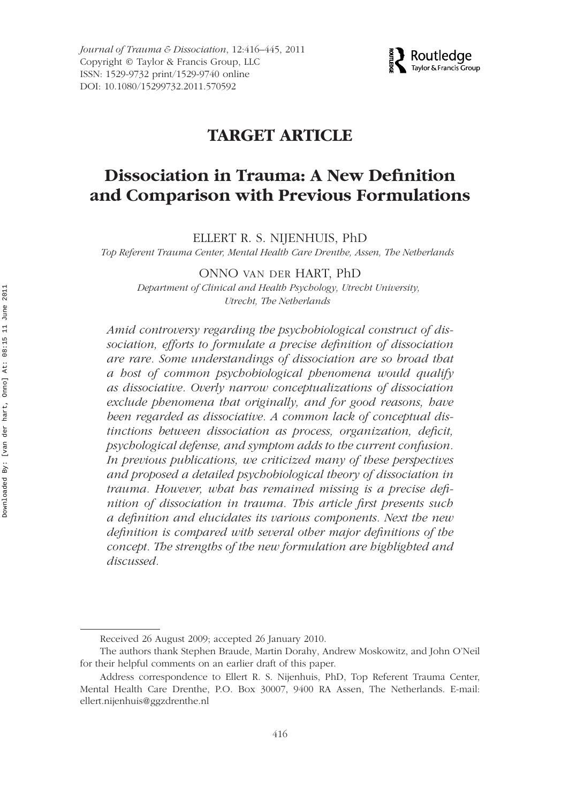*Journal of Trauma & Dissociation*, 12:416–445, 2011 Copyright © Taylor & Francis Group, LLC ISSN: 1529-9732 print/1529-9740 online DOI: 10.1080/15299732.2011.570592



## **TARGET ARTICLE**

# **Dissociation in Trauma: A New Definition and Comparison with Previous Formulations**

ELLERT R. S. NIJENHUIS, PhD

*Top Referent Trauma Center, Mental Health Care Drenthe, Assen, The Netherlands*

ONNO VAN DER HART, PhD

*Department of Clinical and Health Psychology, Utrecht University, Utrecht, The Netherlands*

*Amid controversy regarding the psychobiological construct of dissociation, efforts to formulate a precise definition of dissociation are rare. Some understandings of dissociation are so broad that a host of common psychobiological phenomena would qualify as dissociative. Overly narrow conceptualizations of dissociation exclude phenomena that originally, and for good reasons, have been regarded as dissociative. A common lack of conceptual distinctions between dissociation as process, organization, deficit, psychological defense, and symptom adds to the current confusion. In previous publications, we criticized many of these perspectives and proposed a detailed psychobiological theory of dissociation in trauma. However, what has remained missing is a precise definition of dissociation in trauma. This article first presents such a definition and elucidates its various components. Next the new definition is compared with several other major definitions of the concept. The strengths of the new formulation are highlighted and discussed.*

Received 26 August 2009; accepted 26 January 2010.

The authors thank Stephen Braude, Martin Dorahy, Andrew Moskowitz, and John O'Neil for their helpful comments on an earlier draft of this paper.

Address correspondence to Ellert R. S. Nijenhuis, PhD, Top Referent Trauma Center, Mental Health Care Drenthe, P.O. Box 30007, 9400 RA Assen, The Netherlands. E-mail: ellert.nijenhuis@ggzdrenthe.nl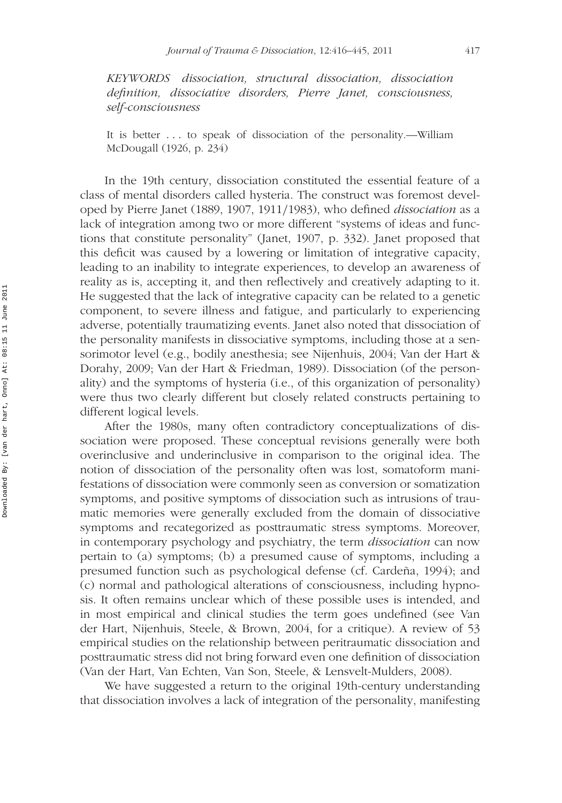*KEYWORDS dissociation, structural dissociation, dissociation definition, dissociative disorders, Pierre Janet, consciousness, self-consciousness*

It is better *...* to speak of dissociation of the personality.—William McDougall (1926, p. 234)

In the 19th century, dissociation constituted the essential feature of a class of mental disorders called hysteria. The construct was foremost developed by Pierre Janet (1889, 1907, 1911*/*1983), who defined *dissociation* as a lack of integration among two or more different "systems of ideas and functions that constitute personality" (Janet, 1907, p. 332). Janet proposed that this deficit was caused by a lowering or limitation of integrative capacity, leading to an inability to integrate experiences, to develop an awareness of reality as is, accepting it, and then reflectively and creatively adapting to it. He suggested that the lack of integrative capacity can be related to a genetic component, to severe illness and fatigue, and particularly to experiencing adverse, potentially traumatizing events. Janet also noted that dissociation of the personality manifests in dissociative symptoms, including those at a sensorimotor level (e.g., bodily anesthesia; see Nijenhuis, 2004; Van der Hart & Dorahy, 2009; Van der Hart & Friedman, 1989). Dissociation (of the personality) and the symptoms of hysteria (i.e., of this organization of personality) were thus two clearly different but closely related constructs pertaining to different logical levels.

After the 1980s, many often contradictory conceptualizations of dissociation were proposed. These conceptual revisions generally were both overinclusive and underinclusive in comparison to the original idea. The notion of dissociation of the personality often was lost, somatoform manifestations of dissociation were commonly seen as conversion or somatization symptoms, and positive symptoms of dissociation such as intrusions of traumatic memories were generally excluded from the domain of dissociative symptoms and recategorized as posttraumatic stress symptoms. Moreover, in contemporary psychology and psychiatry, the term *dissociation* can now pertain to (a) symptoms; (b) a presumed cause of symptoms, including a presumed function such as psychological defense (cf. Cardeña, 1994); and (c) normal and pathological alterations of consciousness, including hypnosis. It often remains unclear which of these possible uses is intended, and in most empirical and clinical studies the term goes undefined (see Van der Hart, Nijenhuis, Steele, & Brown, 2004, for a critique). A review of 53 empirical studies on the relationship between peritraumatic dissociation and posttraumatic stress did not bring forward even one definition of dissociation (Van der Hart, Van Echten, Van Son, Steele, & Lensvelt-Mulders, 2008).

We have suggested a return to the original 19th-century understanding that dissociation involves a lack of integration of the personality, manifesting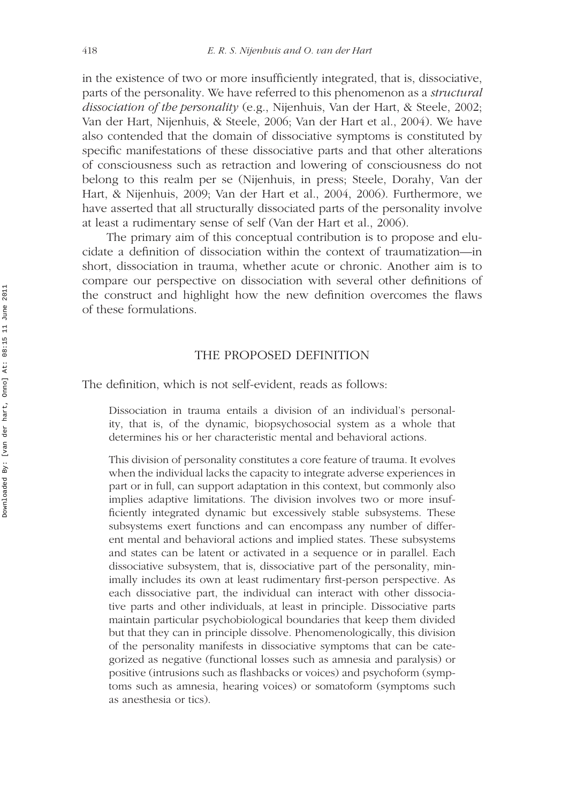in the existence of two or more insufficiently integrated, that is, dissociative, parts of the personality. We have referred to this phenomenon as a *structural dissociation of the personality* (e.g., Nijenhuis, Van der Hart, & Steele, 2002; Van der Hart, Nijenhuis, & Steele, 2006; Van der Hart et al., 2004). We have also contended that the domain of dissociative symptoms is constituted by specific manifestations of these dissociative parts and that other alterations of consciousness such as retraction and lowering of consciousness do not belong to this realm per se (Nijenhuis, in press; Steele, Dorahy, Van der Hart, & Nijenhuis, 2009; Van der Hart et al., 2004, 2006). Furthermore, we have asserted that all structurally dissociated parts of the personality involve at least a rudimentary sense of self (Van der Hart et al., 2006).

The primary aim of this conceptual contribution is to propose and elucidate a definition of dissociation within the context of traumatization—in short, dissociation in trauma, whether acute or chronic. Another aim is to compare our perspective on dissociation with several other definitions of the construct and highlight how the new definition overcomes the flaws of these formulations.

#### THE PROPOSED DEFINITION

The definition, which is not self-evident, reads as follows:

Dissociation in trauma entails a division of an individual's personality, that is, of the dynamic, biopsychosocial system as a whole that determines his or her characteristic mental and behavioral actions.

This division of personality constitutes a core feature of trauma. It evolves when the individual lacks the capacity to integrate adverse experiences in part or in full, can support adaptation in this context, but commonly also implies adaptive limitations. The division involves two or more insufficiently integrated dynamic but excessively stable subsystems. These subsystems exert functions and can encompass any number of different mental and behavioral actions and implied states. These subsystems and states can be latent or activated in a sequence or in parallel. Each dissociative subsystem, that is, dissociative part of the personality, minimally includes its own at least rudimentary first-person perspective. As each dissociative part, the individual can interact with other dissociative parts and other individuals, at least in principle. Dissociative parts maintain particular psychobiological boundaries that keep them divided but that they can in principle dissolve. Phenomenologically, this division of the personality manifests in dissociative symptoms that can be categorized as negative (functional losses such as amnesia and paralysis) or positive (intrusions such as flashbacks or voices) and psychoform (symptoms such as amnesia, hearing voices) or somatoform (symptoms such as anesthesia or tics).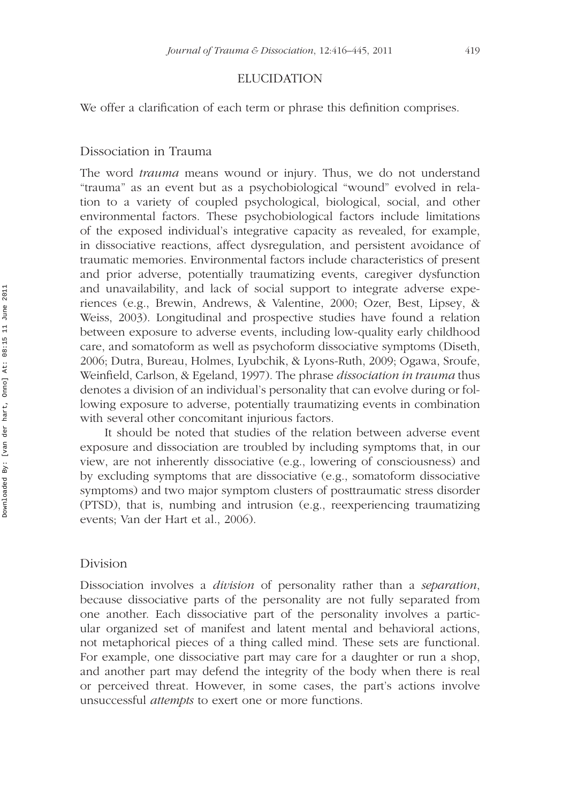### ELUCIDATION

We offer a clarification of each term or phrase this definition comprises.

#### Dissociation in Trauma

The word *trauma* means wound or injury. Thus, we do not understand "trauma" as an event but as a psychobiological "wound" evolved in relation to a variety of coupled psychological, biological, social, and other environmental factors. These psychobiological factors include limitations of the exposed individual's integrative capacity as revealed, for example, in dissociative reactions, affect dysregulation, and persistent avoidance of traumatic memories. Environmental factors include characteristics of present and prior adverse, potentially traumatizing events, caregiver dysfunction and unavailability, and lack of social support to integrate adverse experiences (e.g., Brewin, Andrews, & Valentine, 2000; Ozer, Best, Lipsey, & Weiss, 2003). Longitudinal and prospective studies have found a relation between exposure to adverse events, including low-quality early childhood care, and somatoform as well as psychoform dissociative symptoms (Diseth, 2006; Dutra, Bureau, Holmes, Lyubchik, & Lyons-Ruth, 2009; Ogawa, Sroufe, Weinfield, Carlson, & Egeland, 1997). The phrase *dissociation in trauma* thus denotes a division of an individual's personality that can evolve during or following exposure to adverse, potentially traumatizing events in combination with several other concomitant injurious factors.

It should be noted that studies of the relation between adverse event exposure and dissociation are troubled by including symptoms that, in our view, are not inherently dissociative (e.g., lowering of consciousness) and by excluding symptoms that are dissociative (e.g., somatoform dissociative symptoms) and two major symptom clusters of posttraumatic stress disorder (PTSD), that is, numbing and intrusion (e.g., reexperiencing traumatizing events; Van der Hart et al., 2006).

#### Division

Dissociation involves a *division* of personality rather than a *separation*, because dissociative parts of the personality are not fully separated from one another. Each dissociative part of the personality involves a particular organized set of manifest and latent mental and behavioral actions, not metaphorical pieces of a thing called mind. These sets are functional. For example, one dissociative part may care for a daughter or run a shop, and another part may defend the integrity of the body when there is real or perceived threat. However, in some cases, the part's actions involve unsuccessful *attempts* to exert one or more functions.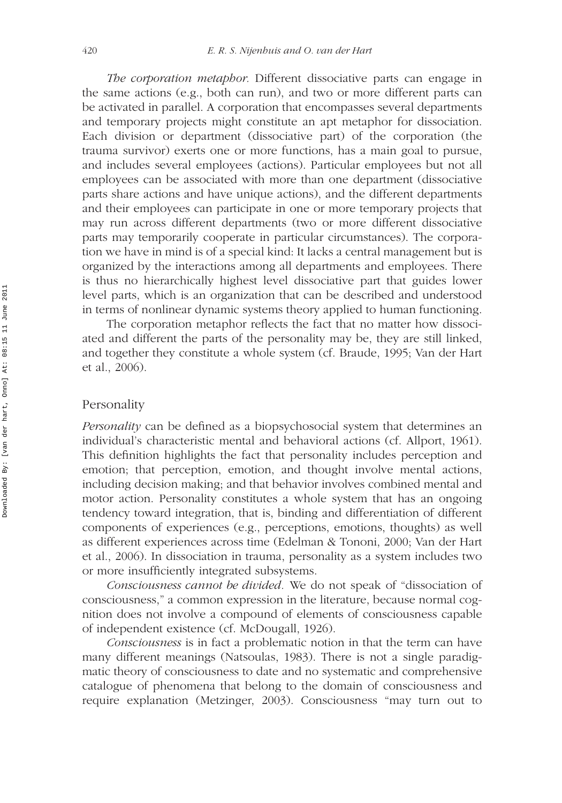*The corporation metaphor.* Different dissociative parts can engage in the same actions (e.g., both can run), and two or more different parts can be activated in parallel. A corporation that encompasses several departments and temporary projects might constitute an apt metaphor for dissociation. Each division or department (dissociative part) of the corporation (the trauma survivor) exerts one or more functions, has a main goal to pursue, and includes several employees (actions). Particular employees but not all employees can be associated with more than one department (dissociative parts share actions and have unique actions), and the different departments and their employees can participate in one or more temporary projects that may run across different departments (two or more different dissociative parts may temporarily cooperate in particular circumstances). The corporation we have in mind is of a special kind: It lacks a central management but is organized by the interactions among all departments and employees. There is thus no hierarchically highest level dissociative part that guides lower level parts, which is an organization that can be described and understood in terms of nonlinear dynamic systems theory applied to human functioning.

The corporation metaphor reflects the fact that no matter how dissociated and different the parts of the personality may be, they are still linked, and together they constitute a whole system (cf. Braude, 1995; Van der Hart et al., 2006).

### Personality

*Personality* can be defined as a biopsychosocial system that determines an individual's characteristic mental and behavioral actions (cf. Allport, 1961). This definition highlights the fact that personality includes perception and emotion; that perception, emotion, and thought involve mental actions, including decision making; and that behavior involves combined mental and motor action. Personality constitutes a whole system that has an ongoing tendency toward integration, that is, binding and differentiation of different components of experiences (e.g., perceptions, emotions, thoughts) as well as different experiences across time (Edelman & Tononi, 2000; Van der Hart et al., 2006). In dissociation in trauma, personality as a system includes two or more insufficiently integrated subsystems.

*Consciousness cannot be divided.* We do not speak of "dissociation of consciousness," a common expression in the literature, because normal cognition does not involve a compound of elements of consciousness capable of independent existence (cf. McDougall, 1926).

*Consciousness* is in fact a problematic notion in that the term can have many different meanings (Natsoulas, 1983). There is not a single paradigmatic theory of consciousness to date and no systematic and comprehensive catalogue of phenomena that belong to the domain of consciousness and require explanation (Metzinger, 2003). Consciousness "may turn out to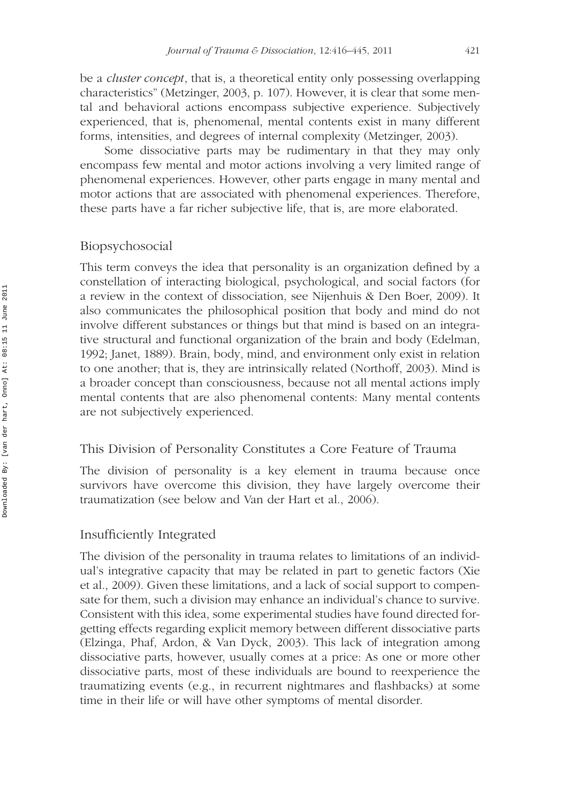be a *cluster concept*, that is, a theoretical entity only possessing overlapping characteristics" (Metzinger, 2003, p. 107). However, it is clear that some mental and behavioral actions encompass subjective experience. Subjectively experienced, that is, phenomenal, mental contents exist in many different forms, intensities, and degrees of internal complexity (Metzinger, 2003).

Some dissociative parts may be rudimentary in that they may only encompass few mental and motor actions involving a very limited range of phenomenal experiences. However, other parts engage in many mental and motor actions that are associated with phenomenal experiences. Therefore, these parts have a far richer subjective life, that is, are more elaborated.

### Biopsychosocial

This term conveys the idea that personality is an organization defined by a constellation of interacting biological, psychological, and social factors (for a review in the context of dissociation, see Nijenhuis & Den Boer, 2009). It also communicates the philosophical position that body and mind do not involve different substances or things but that mind is based on an integrative structural and functional organization of the brain and body (Edelman, 1992; Janet, 1889). Brain, body, mind, and environment only exist in relation to one another; that is, they are intrinsically related (Northoff, 2003). Mind is a broader concept than consciousness, because not all mental actions imply mental contents that are also phenomenal contents: Many mental contents are not subjectively experienced.

### This Division of Personality Constitutes a Core Feature of Trauma

The division of personality is a key element in trauma because once survivors have overcome this division, they have largely overcome their traumatization (see below and Van der Hart et al., 2006).

### Insufficiently Integrated

The division of the personality in trauma relates to limitations of an individual's integrative capacity that may be related in part to genetic factors (Xie et al., 2009). Given these limitations, and a lack of social support to compensate for them, such a division may enhance an individual's chance to survive. Consistent with this idea, some experimental studies have found directed forgetting effects regarding explicit memory between different dissociative parts (Elzinga, Phaf, Ardon, & Van Dyck, 2003). This lack of integration among dissociative parts, however, usually comes at a price: As one or more other dissociative parts, most of these individuals are bound to reexperience the traumatizing events (e.g., in recurrent nightmares and flashbacks) at some time in their life or will have other symptoms of mental disorder.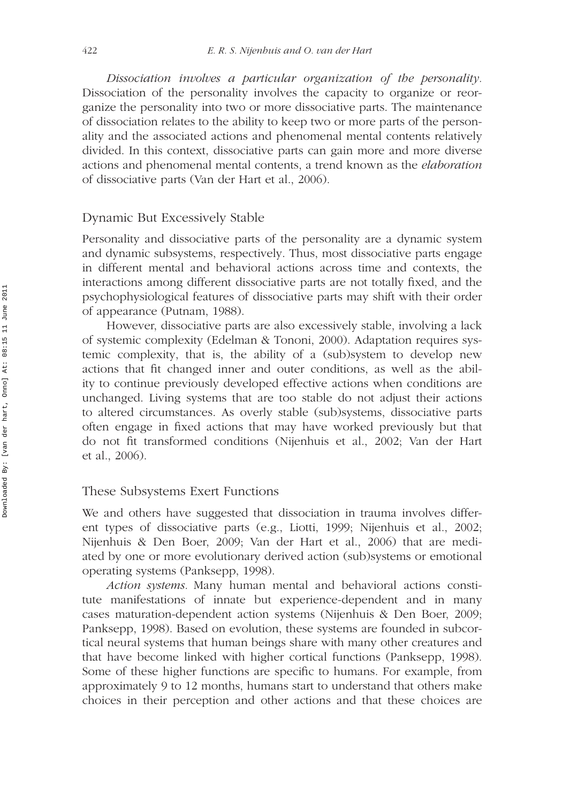*Dissociation involves a particular organization of the personality.* Dissociation of the personality involves the capacity to organize or reorganize the personality into two or more dissociative parts. The maintenance of dissociation relates to the ability to keep two or more parts of the personality and the associated actions and phenomenal mental contents relatively divided. In this context, dissociative parts can gain more and more diverse actions and phenomenal mental contents, a trend known as the *elaboration* of dissociative parts (Van der Hart et al., 2006).

### Dynamic But Excessively Stable

Personality and dissociative parts of the personality are a dynamic system and dynamic subsystems, respectively. Thus, most dissociative parts engage in different mental and behavioral actions across time and contexts, the interactions among different dissociative parts are not totally fixed, and the psychophysiological features of dissociative parts may shift with their order of appearance (Putnam, 1988).

However, dissociative parts are also excessively stable, involving a lack of systemic complexity (Edelman & Tononi, 2000). Adaptation requires systemic complexity, that is, the ability of a (sub)system to develop new actions that fit changed inner and outer conditions, as well as the ability to continue previously developed effective actions when conditions are unchanged. Living systems that are too stable do not adjust their actions to altered circumstances. As overly stable (sub)systems, dissociative parts often engage in fixed actions that may have worked previously but that do not fit transformed conditions (Nijenhuis et al., 2002; Van der Hart et al., 2006).

### These Subsystems Exert Functions

We and others have suggested that dissociation in trauma involves different types of dissociative parts (e.g., Liotti, 1999; Nijenhuis et al., 2002; Nijenhuis & Den Boer, 2009; Van der Hart et al., 2006) that are mediated by one or more evolutionary derived action (sub)systems or emotional operating systems (Panksepp, 1998).

*Action systems.* Many human mental and behavioral actions constitute manifestations of innate but experience-dependent and in many cases maturation-dependent action systems (Nijenhuis & Den Boer, 2009; Panksepp, 1998). Based on evolution, these systems are founded in subcortical neural systems that human beings share with many other creatures and that have become linked with higher cortical functions (Panksepp, 1998). Some of these higher functions are specific to humans. For example, from approximately 9 to 12 months, humans start to understand that others make choices in their perception and other actions and that these choices are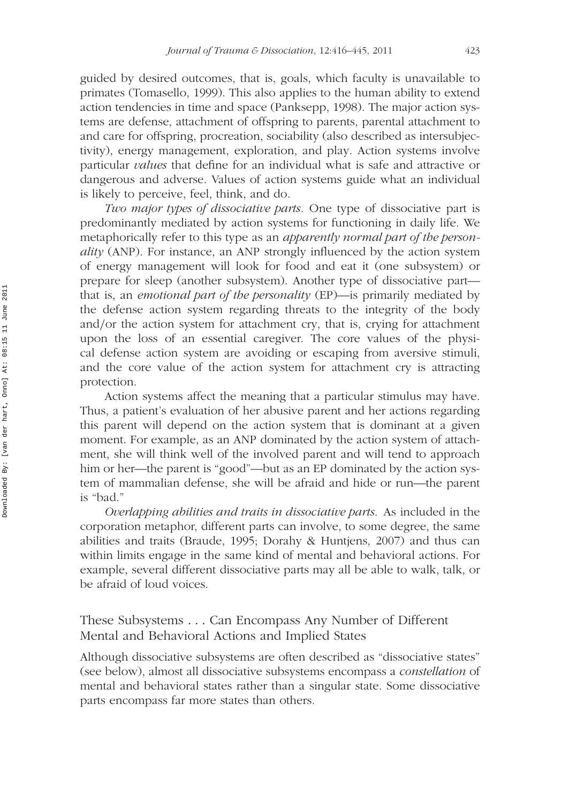guided by desired outcomes, that is, goals, which faculty is unavailable to primates (Tomasello, 1999). This also applies to the human ability to extend action tendencies in time and space (Panksepp, 1998). The major action systems are defense, attachment of offspring to parents, parental attachment to and care for offspring, procreation, sociability (also described as intersubjectivity), energy management, exploration, and play. Action systems involve particular *values* that define for an individual what is safe and attractive or dangerous and adverse. Values of action systems guide what an individual is likely to perceive, feel, think, and do.

*Two major types of dissociative parts.* One type of dissociative part is predominantly mediated by action systems for functioning in daily life. We metaphorically refer to this type as an *apparently normal part of the personality* (ANP). For instance, an ANP strongly influenced by the action system of energy management will look for food and eat it (one subsystem) or prepare for sleep (another subsystem). Another type of dissociative part that is, an *emotional part of the personality* (EP)—is primarily mediated by the defense action system regarding threats to the integrity of the body and*/*or the action system for attachment cry, that is, crying for attachment upon the loss of an essential caregiver. The core values of the physical defense action system are avoiding or escaping from aversive stimuli, and the core value of the action system for attachment cry is attracting protection.

Action systems affect the meaning that a particular stimulus may have. Thus, a patient's evaluation of her abusive parent and her actions regarding this parent will depend on the action system that is dominant at a given moment. For example, as an ANP dominated by the action system of attachment, she will think well of the involved parent and will tend to approach him or her—the parent is "good"—but as an EP dominated by the action system of mammalian defense, she will be afraid and hide or run—the parent is "bad."

*Overlapping abilities and traits in dissociative parts.* As included in the corporation metaphor, different parts can involve, to some degree, the same abilities and traits (Braude, 1995; Dorahy & Huntjens, 2007) and thus can within limits engage in the same kind of mental and behavioral actions. For example, several different dissociative parts may all be able to walk, talk, or be afraid of loud voices.

### These Subsystems *...* Can Encompass Any Number of Different Mental and Behavioral Actions and Implied States

Although dissociative subsystems are often described as "dissociative states" (see below), almost all dissociative subsystems encompass a *constellation* of mental and behavioral states rather than a singular state. Some dissociative parts encompass far more states than others.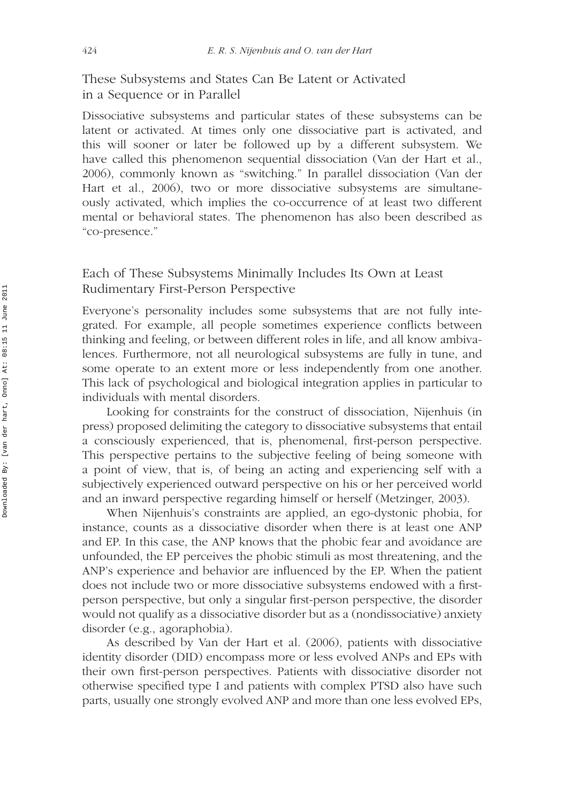These Subsystems and States Can Be Latent or Activated in a Sequence or in Parallel

Dissociative subsystems and particular states of these subsystems can be latent or activated. At times only one dissociative part is activated, and this will sooner or later be followed up by a different subsystem. We have called this phenomenon sequential dissociation (Van der Hart et al., 2006), commonly known as "switching." In parallel dissociation (Van der Hart et al., 2006), two or more dissociative subsystems are simultaneously activated, which implies the co-occurrence of at least two different mental or behavioral states. The phenomenon has also been described as "co-presence."

### Each of These Subsystems Minimally Includes Its Own at Least Rudimentary First-Person Perspective

Everyone's personality includes some subsystems that are not fully integrated. For example, all people sometimes experience conflicts between thinking and feeling, or between different roles in life, and all know ambivalences. Furthermore, not all neurological subsystems are fully in tune, and some operate to an extent more or less independently from one another. This lack of psychological and biological integration applies in particular to individuals with mental disorders.

Looking for constraints for the construct of dissociation, Nijenhuis (in press) proposed delimiting the category to dissociative subsystems that entail a consciously experienced, that is, phenomenal, first-person perspective. This perspective pertains to the subjective feeling of being someone with a point of view, that is, of being an acting and experiencing self with a subjectively experienced outward perspective on his or her perceived world and an inward perspective regarding himself or herself (Metzinger, 2003).

When Nijenhuis's constraints are applied, an ego-dystonic phobia, for instance, counts as a dissociative disorder when there is at least one ANP and EP. In this case, the ANP knows that the phobic fear and avoidance are unfounded, the EP perceives the phobic stimuli as most threatening, and the ANP's experience and behavior are influenced by the EP. When the patient does not include two or more dissociative subsystems endowed with a firstperson perspective, but only a singular first-person perspective, the disorder would not qualify as a dissociative disorder but as a (nondissociative) anxiety disorder (e.g., agoraphobia).

As described by Van der Hart et al. (2006), patients with dissociative identity disorder (DID) encompass more or less evolved ANPs and EPs with their own first-person perspectives. Patients with dissociative disorder not otherwise specified type I and patients with complex PTSD also have such parts, usually one strongly evolved ANP and more than one less evolved EPs,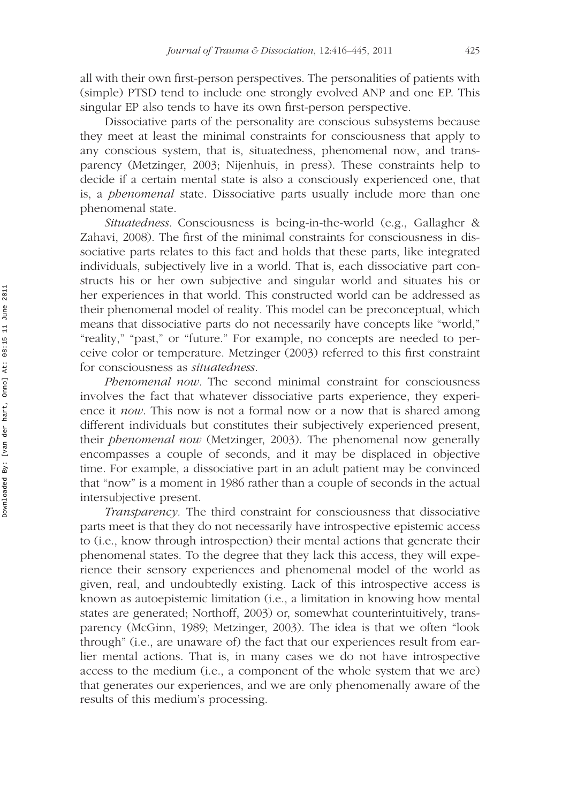all with their own first-person perspectives. The personalities of patients with (simple) PTSD tend to include one strongly evolved ANP and one EP. This singular EP also tends to have its own first-person perspective.

Dissociative parts of the personality are conscious subsystems because they meet at least the minimal constraints for consciousness that apply to any conscious system, that is, situatedness, phenomenal now, and transparency (Metzinger, 2003; Nijenhuis, in press). These constraints help to decide if a certain mental state is also a consciously experienced one, that is, a *phenomenal* state. Dissociative parts usually include more than one phenomenal state.

*Situatedness.* Consciousness is being-in-the-world (e.g., Gallagher & Zahavi, 2008). The first of the minimal constraints for consciousness in dissociative parts relates to this fact and holds that these parts, like integrated individuals, subjectively live in a world. That is, each dissociative part constructs his or her own subjective and singular world and situates his or her experiences in that world. This constructed world can be addressed as their phenomenal model of reality. This model can be preconceptual, which means that dissociative parts do not necessarily have concepts like "world," "reality," "past," or "future." For example, no concepts are needed to perceive color or temperature. Metzinger (2003) referred to this first constraint for consciousness as *situatedness*.

*Phenomenal now.* The second minimal constraint for consciousness involves the fact that whatever dissociative parts experience, they experience it *now*. This now is not a formal now or a now that is shared among different individuals but constitutes their subjectively experienced present, their *phenomenal now* (Metzinger, 2003). The phenomenal now generally encompasses a couple of seconds, and it may be displaced in objective time. For example, a dissociative part in an adult patient may be convinced that "now" is a moment in 1986 rather than a couple of seconds in the actual intersubjective present.

*Transparency.* The third constraint for consciousness that dissociative parts meet is that they do not necessarily have introspective epistemic access to (i.e., know through introspection) their mental actions that generate their phenomenal states. To the degree that they lack this access, they will experience their sensory experiences and phenomenal model of the world as given, real, and undoubtedly existing. Lack of this introspective access is known as autoepistemic limitation (i.e., a limitation in knowing how mental states are generated; Northoff, 2003) or, somewhat counterintuitively, transparency (McGinn, 1989; Metzinger, 2003). The idea is that we often "look through" (i.e., are unaware of) the fact that our experiences result from earlier mental actions. That is, in many cases we do not have introspective access to the medium (i.e., a component of the whole system that we are) that generates our experiences, and we are only phenomenally aware of the results of this medium's processing.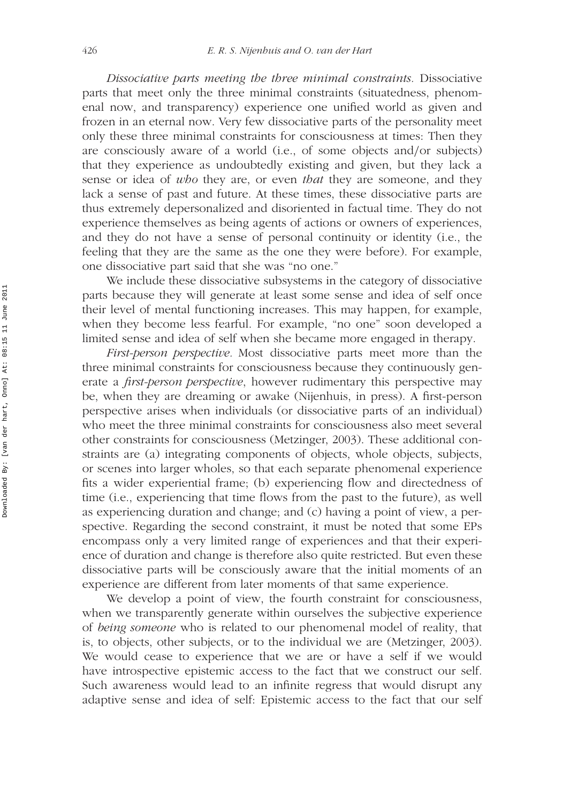*Dissociative parts meeting the three minimal constraints.* Dissociative parts that meet only the three minimal constraints (situatedness, phenomenal now, and transparency) experience one unified world as given and frozen in an eternal now. Very few dissociative parts of the personality meet only these three minimal constraints for consciousness at times: Then they are consciously aware of a world (i.e., of some objects and*/*or subjects) that they experience as undoubtedly existing and given, but they lack a sense or idea of *who* they are, or even *that* they are someone, and they lack a sense of past and future. At these times, these dissociative parts are thus extremely depersonalized and disoriented in factual time. They do not experience themselves as being agents of actions or owners of experiences, and they do not have a sense of personal continuity or identity (i.e., the feeling that they are the same as the one they were before). For example, one dissociative part said that she was "no one."

We include these dissociative subsystems in the category of dissociative parts because they will generate at least some sense and idea of self once their level of mental functioning increases. This may happen, for example, when they become less fearful. For example, "no one" soon developed a limited sense and idea of self when she became more engaged in therapy.

*First-person perspective.* Most dissociative parts meet more than the three minimal constraints for consciousness because they continuously generate a *first-person perspective*, however rudimentary this perspective may be, when they are dreaming or awake (Nijenhuis, in press). A first-person perspective arises when individuals (or dissociative parts of an individual) who meet the three minimal constraints for consciousness also meet several other constraints for consciousness (Metzinger, 2003). These additional constraints are (a) integrating components of objects, whole objects, subjects, or scenes into larger wholes, so that each separate phenomenal experience fits a wider experiential frame; (b) experiencing flow and directedness of time (i.e., experiencing that time flows from the past to the future), as well as experiencing duration and change; and (c) having a point of view, a perspective. Regarding the second constraint, it must be noted that some EPs encompass only a very limited range of experiences and that their experience of duration and change is therefore also quite restricted. But even these dissociative parts will be consciously aware that the initial moments of an experience are different from later moments of that same experience.

We develop a point of view, the fourth constraint for consciousness, when we transparently generate within ourselves the subjective experience of *being someone* who is related to our phenomenal model of reality, that is, to objects, other subjects, or to the individual we are (Metzinger, 2003). We would cease to experience that we are or have a self if we would have introspective epistemic access to the fact that we construct our self. Such awareness would lead to an infinite regress that would disrupt any adaptive sense and idea of self: Epistemic access to the fact that our self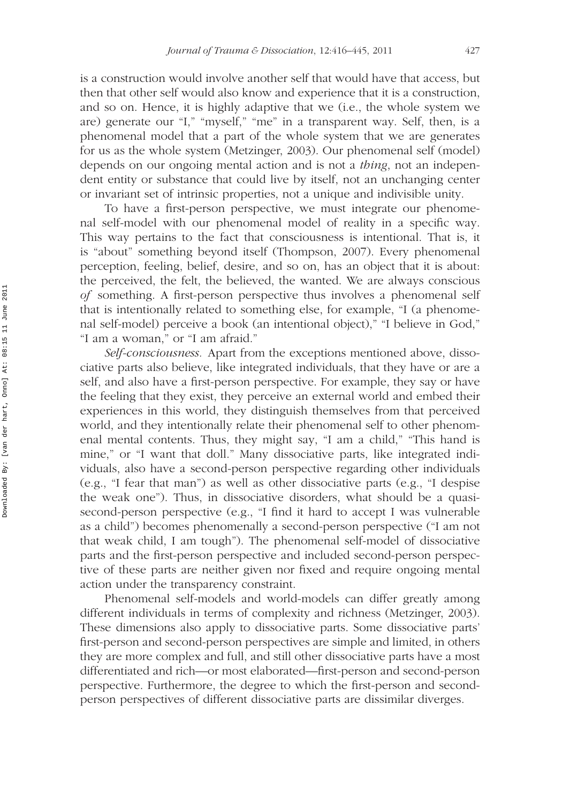is a construction would involve another self that would have that access, but then that other self would also know and experience that it is a construction, and so on. Hence, it is highly adaptive that we (i.e., the whole system we are) generate our "I," "myself," "me" in a transparent way. Self, then, is a phenomenal model that a part of the whole system that we are generates for us as the whole system (Metzinger, 2003). Our phenomenal self (model) depends on our ongoing mental action and is not a *thing*, not an independent entity or substance that could live by itself, not an unchanging center or invariant set of intrinsic properties, not a unique and indivisible unity.

To have a first-person perspective, we must integrate our phenomenal self-model with our phenomenal model of reality in a specific way. This way pertains to the fact that consciousness is intentional. That is, it is "about" something beyond itself (Thompson, 2007). Every phenomenal perception, feeling, belief, desire, and so on, has an object that it is about: the perceived, the felt, the believed, the wanted. We are always conscious *of* something. A first-person perspective thus involves a phenomenal self that is intentionally related to something else, for example, "I (a phenomenal self-model) perceive a book (an intentional object)," "I believe in God," "I am a woman," or "I am afraid."

*Self-consciousness.* Apart from the exceptions mentioned above, dissociative parts also believe, like integrated individuals, that they have or are a self, and also have a first-person perspective. For example, they say or have the feeling that they exist, they perceive an external world and embed their experiences in this world, they distinguish themselves from that perceived world, and they intentionally relate their phenomenal self to other phenomenal mental contents. Thus, they might say, "I am a child," "This hand is mine," or "I want that doll." Many dissociative parts, like integrated individuals, also have a second-person perspective regarding other individuals (e.g., "I fear that man") as well as other dissociative parts (e.g., "I despise the weak one"). Thus, in dissociative disorders, what should be a quasisecond-person perspective (e.g., "I find it hard to accept I was vulnerable as a child") becomes phenomenally a second-person perspective ("I am not that weak child, I am tough"). The phenomenal self-model of dissociative parts and the first-person perspective and included second-person perspective of these parts are neither given nor fixed and require ongoing mental action under the transparency constraint.

Phenomenal self-models and world-models can differ greatly among different individuals in terms of complexity and richness (Metzinger, 2003). These dimensions also apply to dissociative parts. Some dissociative parts' first-person and second-person perspectives are simple and limited, in others they are more complex and full, and still other dissociative parts have a most differentiated and rich—or most elaborated—first-person and second-person perspective. Furthermore, the degree to which the first-person and secondperson perspectives of different dissociative parts are dissimilar diverges.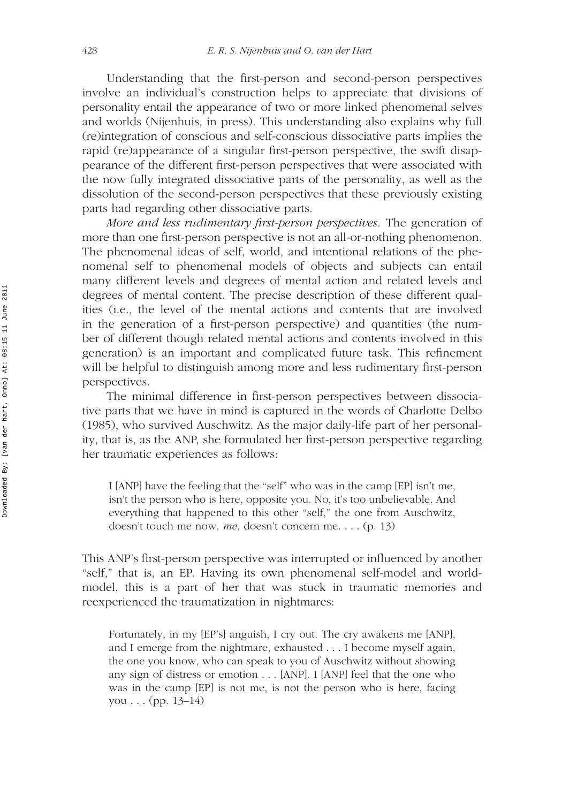Understanding that the first-person and second-person perspectives involve an individual's construction helps to appreciate that divisions of personality entail the appearance of two or more linked phenomenal selves and worlds (Nijenhuis, in press). This understanding also explains why full (re)integration of conscious and self-conscious dissociative parts implies the rapid (re)appearance of a singular first-person perspective, the swift disappearance of the different first-person perspectives that were associated with the now fully integrated dissociative parts of the personality, as well as the dissolution of the second-person perspectives that these previously existing parts had regarding other dissociative parts.

*More and less rudimentary first-person perspectives.* The generation of more than one first-person perspective is not an all-or-nothing phenomenon. The phenomenal ideas of self, world, and intentional relations of the phenomenal self to phenomenal models of objects and subjects can entail many different levels and degrees of mental action and related levels and degrees of mental content. The precise description of these different qualities (i.e., the level of the mental actions and contents that are involved in the generation of a first-person perspective) and quantities (the number of different though related mental actions and contents involved in this generation) is an important and complicated future task. This refinement will be helpful to distinguish among more and less rudimentary first-person perspectives.

The minimal difference in first-person perspectives between dissociative parts that we have in mind is captured in the words of Charlotte Delbo (1985), who survived Auschwitz. As the major daily-life part of her personality, that is, as the ANP, she formulated her first-person perspective regarding her traumatic experiences as follows:

I [ANP] have the feeling that the "self" who was in the camp [EP] isn't me, isn't the person who is here, opposite you. No, it's too unbelievable. And everything that happened to this other "self," the one from Auschwitz, doesn't touch me now, *me*, doesn't concern me. *...* (p. 13)

This ANP's first-person perspective was interrupted or influenced by another "self," that is, an EP. Having its own phenomenal self-model and worldmodel, this is a part of her that was stuck in traumatic memories and reexperienced the traumatization in nightmares:

Fortunately, in my [EP's] anguish, I cry out. The cry awakens me [ANP], and I emerge from the nightmare, exhausted *...* I become myself again, the one you know, who can speak to you of Auschwitz without showing any sign of distress or emotion *...* [ANP]. I [ANP] feel that the one who was in the camp [EP] is not me, is not the person who is here, facing you *...* (pp. 13–14)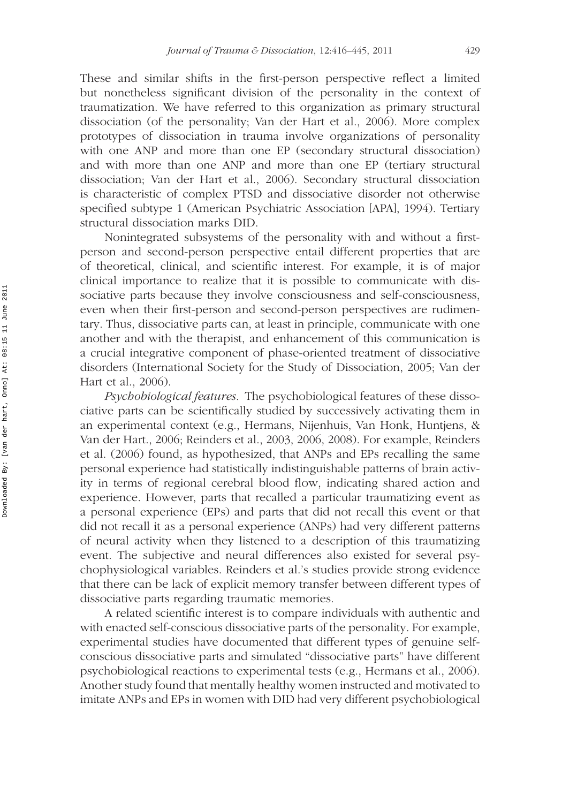These and similar shifts in the first-person perspective reflect a limited but nonetheless significant division of the personality in the context of traumatization. We have referred to this organization as primary structural dissociation (of the personality; Van der Hart et al., 2006). More complex prototypes of dissociation in trauma involve organizations of personality with one ANP and more than one EP (secondary structural dissociation) and with more than one ANP and more than one EP (tertiary structural dissociation; Van der Hart et al., 2006). Secondary structural dissociation is characteristic of complex PTSD and dissociative disorder not otherwise specified subtype 1 (American Psychiatric Association [APA], 1994). Tertiary structural dissociation marks DID.

Nonintegrated subsystems of the personality with and without a firstperson and second-person perspective entail different properties that are of theoretical, clinical, and scientific interest. For example, it is of major clinical importance to realize that it is possible to communicate with dissociative parts because they involve consciousness and self-consciousness, even when their first-person and second-person perspectives are rudimentary. Thus, dissociative parts can, at least in principle, communicate with one another and with the therapist, and enhancement of this communication is a crucial integrative component of phase-oriented treatment of dissociative disorders (International Society for the Study of Dissociation, 2005; Van der Hart et al., 2006).

*Psychobiological features.* The psychobiological features of these dissociative parts can be scientifically studied by successively activating them in an experimental context (e.g., Hermans, Nijenhuis, Van Honk, Huntjens, & Van der Hart., 2006; Reinders et al., 2003, 2006, 2008). For example, Reinders et al. (2006) found, as hypothesized, that ANPs and EPs recalling the same personal experience had statistically indistinguishable patterns of brain activity in terms of regional cerebral blood flow, indicating shared action and experience. However, parts that recalled a particular traumatizing event as a personal experience (EPs) and parts that did not recall this event or that did not recall it as a personal experience (ANPs) had very different patterns of neural activity when they listened to a description of this traumatizing event. The subjective and neural differences also existed for several psychophysiological variables. Reinders et al.'s studies provide strong evidence that there can be lack of explicit memory transfer between different types of dissociative parts regarding traumatic memories.

A related scientific interest is to compare individuals with authentic and with enacted self-conscious dissociative parts of the personality. For example, experimental studies have documented that different types of genuine selfconscious dissociative parts and simulated "dissociative parts" have different psychobiological reactions to experimental tests (e.g., Hermans et al., 2006). Another study found that mentally healthy women instructed and motivated to imitate ANPs and EPs in women with DID had very different psychobiological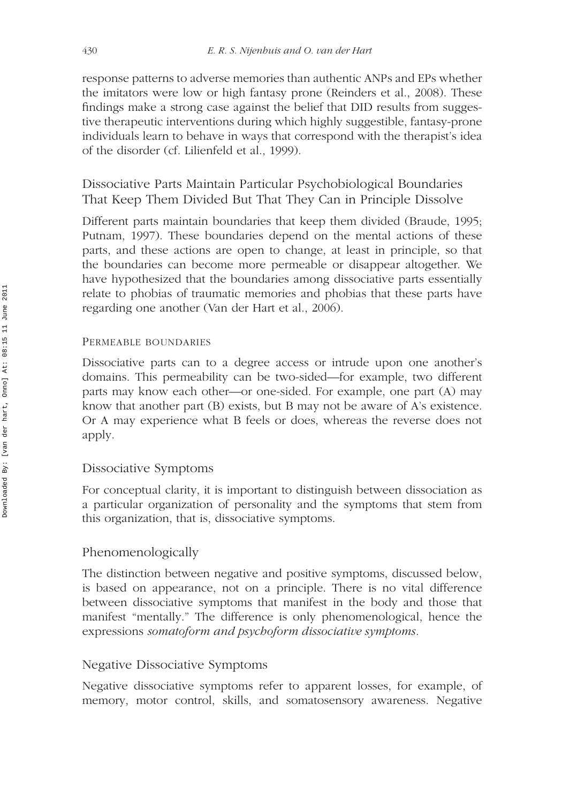response patterns to adverse memories than authentic ANPs and EPs whether the imitators were low or high fantasy prone (Reinders et al., 2008). These findings make a strong case against the belief that DID results from suggestive therapeutic interventions during which highly suggestible, fantasy-prone individuals learn to behave in ways that correspond with the therapist's idea of the disorder (cf. Lilienfeld et al., 1999).

Dissociative Parts Maintain Particular Psychobiological Boundaries That Keep Them Divided But That They Can in Principle Dissolve

Different parts maintain boundaries that keep them divided (Braude, 1995; Putnam, 1997). These boundaries depend on the mental actions of these parts, and these actions are open to change, at least in principle, so that the boundaries can become more permeable or disappear altogether. We have hypothesized that the boundaries among dissociative parts essentially relate to phobias of traumatic memories and phobias that these parts have regarding one another (Van der Hart et al., 2006).

### PERMEABLE BOUNDARIES

Dissociative parts can to a degree access or intrude upon one another's domains. This permeability can be two-sided—for example, two different parts may know each other—or one-sided. For example, one part (A) may know that another part (B) exists, but B may not be aware of A's existence. Or A may experience what B feels or does, whereas the reverse does not apply.

### Dissociative Symptoms

For conceptual clarity, it is important to distinguish between dissociation as a particular organization of personality and the symptoms that stem from this organization, that is, dissociative symptoms.

## Phenomenologically

The distinction between negative and positive symptoms, discussed below, is based on appearance, not on a principle. There is no vital difference between dissociative symptoms that manifest in the body and those that manifest "mentally." The difference is only phenomenological, hence the expressions *somatoform and psychoform dissociative symptoms*.

## Negative Dissociative Symptoms

Negative dissociative symptoms refer to apparent losses, for example, of memory, motor control, skills, and somatosensory awareness. Negative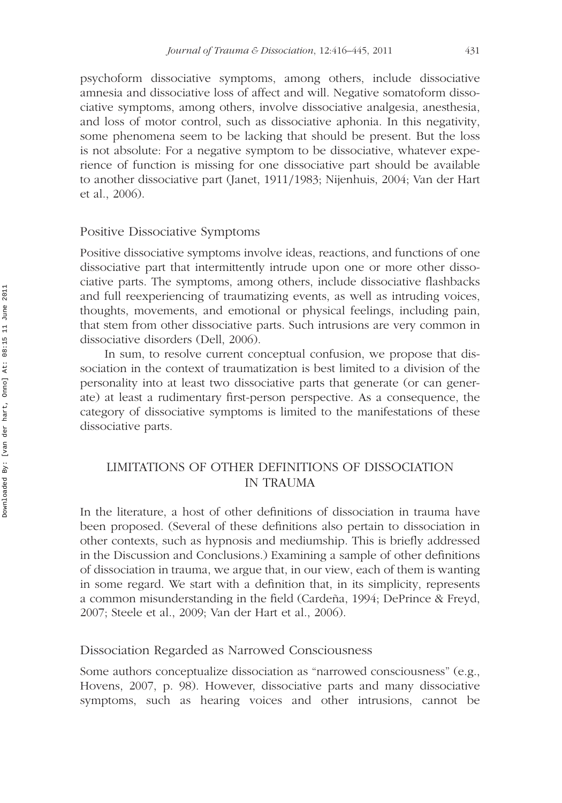psychoform dissociative symptoms, among others, include dissociative amnesia and dissociative loss of affect and will. Negative somatoform dissociative symptoms, among others, involve dissociative analgesia, anesthesia, and loss of motor control, such as dissociative aphonia. In this negativity, some phenomena seem to be lacking that should be present. But the loss is not absolute: For a negative symptom to be dissociative, whatever experience of function is missing for one dissociative part should be available to another dissociative part (Janet, 1911*/*1983; Nijenhuis, 2004; Van der Hart et al., 2006).

#### Positive Dissociative Symptoms

Positive dissociative symptoms involve ideas, reactions, and functions of one dissociative part that intermittently intrude upon one or more other dissociative parts. The symptoms, among others, include dissociative flashbacks and full reexperiencing of traumatizing events, as well as intruding voices, thoughts, movements, and emotional or physical feelings, including pain, that stem from other dissociative parts. Such intrusions are very common in dissociative disorders (Dell, 2006).

In sum, to resolve current conceptual confusion, we propose that dissociation in the context of traumatization is best limited to a division of the personality into at least two dissociative parts that generate (or can generate) at least a rudimentary first-person perspective. As a consequence, the category of dissociative symptoms is limited to the manifestations of these dissociative parts.

### LIMITATIONS OF OTHER DEFINITIONS OF DISSOCIATION IN TRAUMA

In the literature, a host of other definitions of dissociation in trauma have been proposed. (Several of these definitions also pertain to dissociation in other contexts, such as hypnosis and mediumship. This is briefly addressed in the Discussion and Conclusions.) Examining a sample of other definitions of dissociation in trauma, we argue that, in our view, each of them is wanting in some regard. We start with a definition that, in its simplicity, represents a common misunderstanding in the field (Cardeña, 1994; DePrince & Freyd, 2007; Steele et al., 2009; Van der Hart et al., 2006).

### Dissociation Regarded as Narrowed Consciousness

Some authors conceptualize dissociation as "narrowed consciousness" (e.g., Hovens, 2007, p. 98). However, dissociative parts and many dissociative symptoms, such as hearing voices and other intrusions, cannot be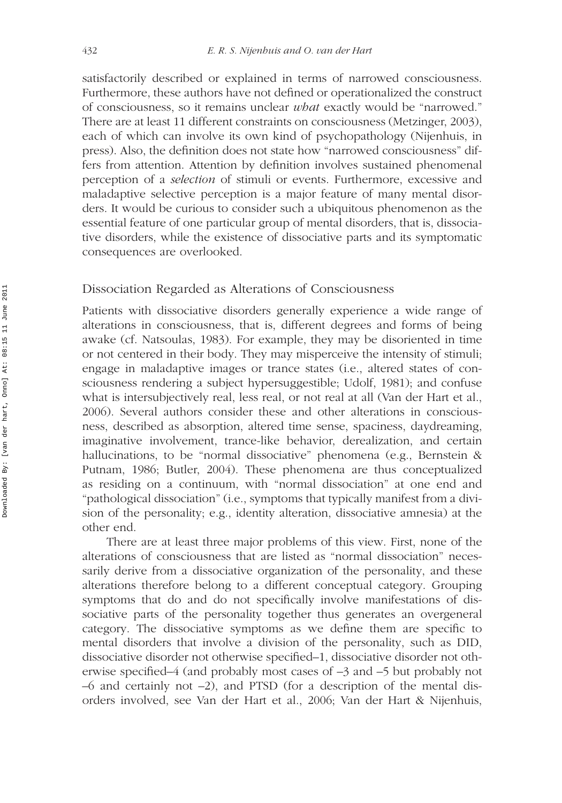satisfactorily described or explained in terms of narrowed consciousness. Furthermore, these authors have not defined or operationalized the construct of consciousness, so it remains unclear *what* exactly would be "narrowed." There are at least 11 different constraints on consciousness (Metzinger, 2003), each of which can involve its own kind of psychopathology (Nijenhuis, in press). Also, the definition does not state how "narrowed consciousness" differs from attention. Attention by definition involves sustained phenomenal perception of a *selection* of stimuli or events. Furthermore, excessive and maladaptive selective perception is a major feature of many mental disorders. It would be curious to consider such a ubiquitous phenomenon as the essential feature of one particular group of mental disorders, that is, dissociative disorders, while the existence of dissociative parts and its symptomatic consequences are overlooked.

### Dissociation Regarded as Alterations of Consciousness

Patients with dissociative disorders generally experience a wide range of alterations in consciousness, that is, different degrees and forms of being awake (cf. Natsoulas, 1983). For example, they may be disoriented in time or not centered in their body. They may misperceive the intensity of stimuli; engage in maladaptive images or trance states (i.e., altered states of consciousness rendering a subject hypersuggestible; Udolf, 1981); and confuse what is intersubjectively real, less real, or not real at all (Van der Hart et al., 2006). Several authors consider these and other alterations in consciousness, described as absorption, altered time sense, spaciness, daydreaming, imaginative involvement, trance-like behavior, derealization, and certain hallucinations, to be "normal dissociative" phenomena (e.g., Bernstein & Putnam, 1986; Butler, 2004). These phenomena are thus conceptualized as residing on a continuum, with "normal dissociation" at one end and "pathological dissociation" (i.e., symptoms that typically manifest from a division of the personality; e.g., identity alteration, dissociative amnesia) at the other end.

There are at least three major problems of this view. First, none of the alterations of consciousness that are listed as "normal dissociation" necessarily derive from a dissociative organization of the personality, and these alterations therefore belong to a different conceptual category. Grouping symptoms that do and do not specifically involve manifestations of dissociative parts of the personality together thus generates an overgeneral category. The dissociative symptoms as we define them are specific to mental disorders that involve a division of the personality, such as DID, dissociative disorder not otherwise specified–1, dissociative disorder not otherwise specified–4 (and probably most cases of –3 and –5 but probably not  $-6$  and certainly not  $-2$ ), and PTSD (for a description of the mental disorders involved, see Van der Hart et al., 2006; Van der Hart & Nijenhuis,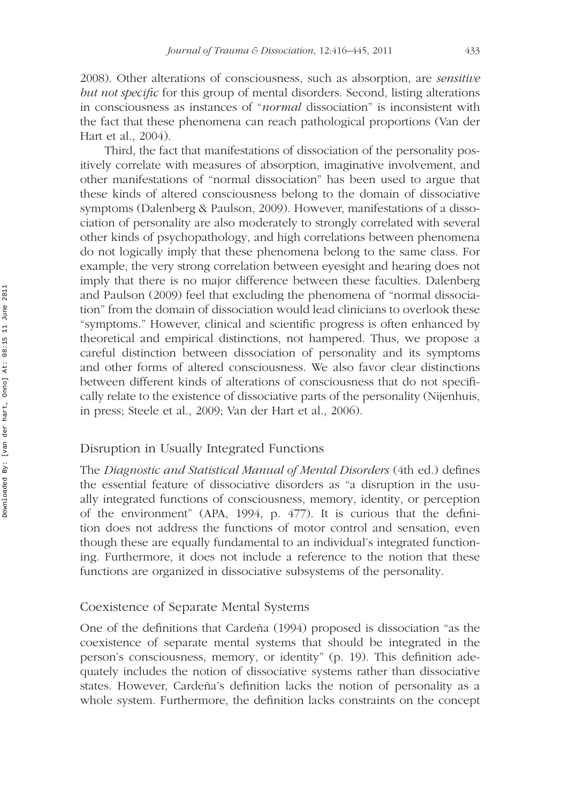2008). Other alterations of consciousness, such as absorption, are *sensitive but not specific* for this group of mental disorders. Second, listing alterations in consciousness as instances of "*normal* dissociation" is inconsistent with the fact that these phenomena can reach pathological proportions (Van der Hart et al., 2004).

Third, the fact that manifestations of dissociation of the personality positively correlate with measures of absorption, imaginative involvement, and other manifestations of "normal dissociation" has been used to argue that these kinds of altered consciousness belong to the domain of dissociative symptoms (Dalenberg & Paulson, 2009). However, manifestations of a dissociation of personality are also moderately to strongly correlated with several other kinds of psychopathology, and high correlations between phenomena do not logically imply that these phenomena belong to the same class. For example, the very strong correlation between eyesight and hearing does not imply that there is no major difference between these faculties. Dalenberg and Paulson (2009) feel that excluding the phenomena of "normal dissociation" from the domain of dissociation would lead clinicians to overlook these "symptoms." However, clinical and scientific progress is often enhanced by theoretical and empirical distinctions, not hampered. Thus, we propose a careful distinction between dissociation of personality and its symptoms and other forms of altered consciousness. We also favor clear distinctions between different kinds of alterations of consciousness that do not specifically relate to the existence of dissociative parts of the personality (Nijenhuis, in press; Steele et al., 2009; Van der Hart et al., 2006).

### Disruption in Usually Integrated Functions

The *Diagnostic and Statistical Manual of Mental Disorders* (4th ed.) defines the essential feature of dissociative disorders as "a disruption in the usually integrated functions of consciousness, memory, identity, or perception of the environment" (APA, 1994, p. 477). It is curious that the definition does not address the functions of motor control and sensation, even though these are equally fundamental to an individual's integrated functioning. Furthermore, it does not include a reference to the notion that these functions are organized in dissociative subsystems of the personality.

### Coexistence of Separate Mental Systems

One of the definitions that Cardeña (1994) proposed is dissociation "as the coexistence of separate mental systems that should be integrated in the person's consciousness, memory, or identity" (p. 19). This definition adequately includes the notion of dissociative systems rather than dissociative states. However, Cardeña's definition lacks the notion of personality as a whole system. Furthermore, the definition lacks constraints on the concept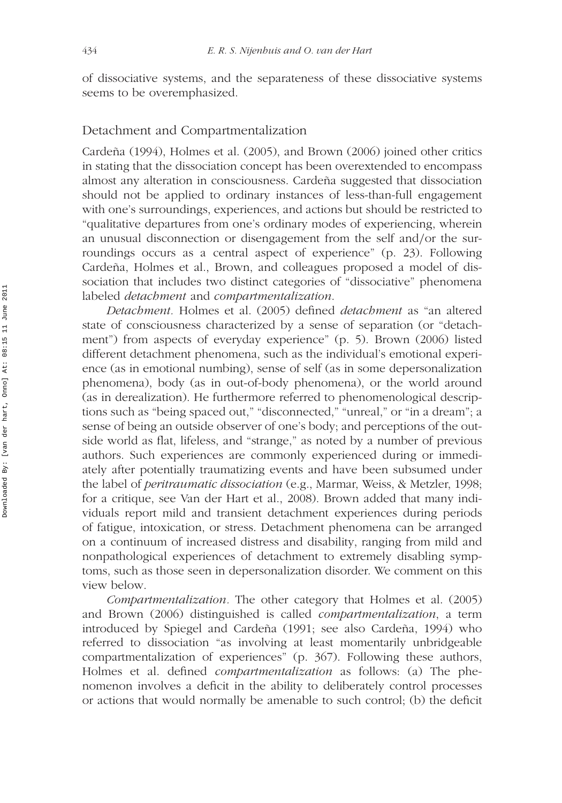of dissociative systems, and the separateness of these dissociative systems seems to be overemphasized.

### Detachment and Compartmentalization

Cardeña (1994), Holmes et al. (2005), and Brown (2006) joined other critics in stating that the dissociation concept has been overextended to encompass almost any alteration in consciousness. Cardeña suggested that dissociation should not be applied to ordinary instances of less-than-full engagement with one's surroundings, experiences, and actions but should be restricted to "qualitative departures from one's ordinary modes of experiencing, wherein an unusual disconnection or disengagement from the self and*/*or the surroundings occurs as a central aspect of experience" (p. 23). Following Cardeña, Holmes et al., Brown, and colleagues proposed a model of dissociation that includes two distinct categories of "dissociative" phenomena labeled *detachment* and *compartmentalization*.

*Detachment.* Holmes et al. (2005) defined *detachment* as "an altered state of consciousness characterized by a sense of separation (or "detachment") from aspects of everyday experience" (p. 5). Brown (2006) listed different detachment phenomena, such as the individual's emotional experience (as in emotional numbing), sense of self (as in some depersonalization phenomena), body (as in out-of-body phenomena), or the world around (as in derealization). He furthermore referred to phenomenological descriptions such as "being spaced out," "disconnected," "unreal," or "in a dream"; a sense of being an outside observer of one's body; and perceptions of the outside world as flat, lifeless, and "strange," as noted by a number of previous authors. Such experiences are commonly experienced during or immediately after potentially traumatizing events and have been subsumed under the label of *peritraumatic dissociation* (e.g., Marmar, Weiss, & Metzler, 1998; for a critique, see Van der Hart et al., 2008). Brown added that many individuals report mild and transient detachment experiences during periods of fatigue, intoxication, or stress. Detachment phenomena can be arranged on a continuum of increased distress and disability, ranging from mild and nonpathological experiences of detachment to extremely disabling symptoms, such as those seen in depersonalization disorder. We comment on this view below.

*Compartmentalization.* The other category that Holmes et al. (2005) and Brown (2006) distinguished is called *compartmentalization*, a term introduced by Spiegel and Cardeña (1991; see also Cardeña, 1994) who referred to dissociation "as involving at least momentarily unbridgeable compartmentalization of experiences" (p. 367). Following these authors, Holmes et al. defined *compartmentalization* as follows: (a) The phenomenon involves a deficit in the ability to deliberately control processes or actions that would normally be amenable to such control; (b) the deficit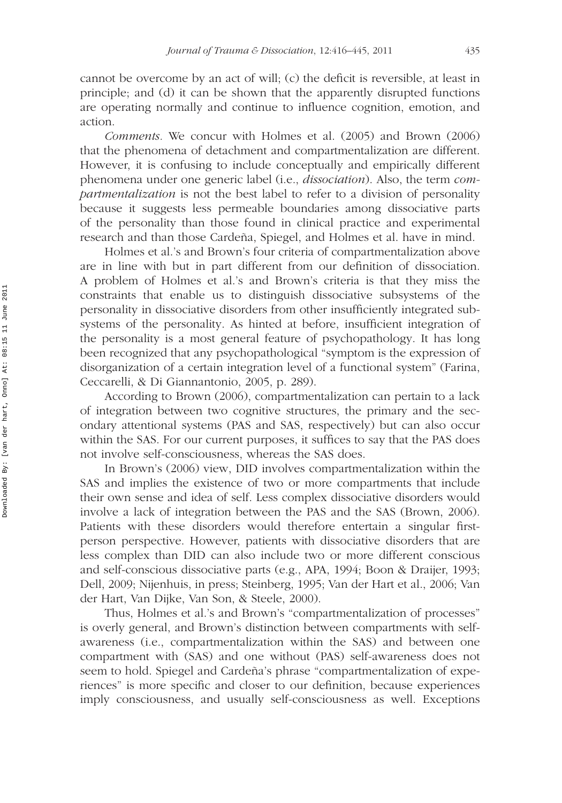cannot be overcome by an act of will; (c) the deficit is reversible, at least in principle; and (d) it can be shown that the apparently disrupted functions are operating normally and continue to influence cognition, emotion, and action.

*Comments.* We concur with Holmes et al. (2005) and Brown (2006) that the phenomena of detachment and compartmentalization are different. However, it is confusing to include conceptually and empirically different phenomena under one generic label (i.e., *dissociation*). Also, the term *compartmentalization* is not the best label to refer to a division of personality because it suggests less permeable boundaries among dissociative parts of the personality than those found in clinical practice and experimental research and than those Cardeña, Spiegel, and Holmes et al. have in mind.

Holmes et al.'s and Brown's four criteria of compartmentalization above are in line with but in part different from our definition of dissociation. A problem of Holmes et al.'s and Brown's criteria is that they miss the constraints that enable us to distinguish dissociative subsystems of the personality in dissociative disorders from other insufficiently integrated subsystems of the personality. As hinted at before, insufficient integration of the personality is a most general feature of psychopathology. It has long been recognized that any psychopathological "symptom is the expression of disorganization of a certain integration level of a functional system" (Farina, Ceccarelli, & Di Giannantonio, 2005, p. 289).

According to Brown (2006), compartmentalization can pertain to a lack of integration between two cognitive structures, the primary and the secondary attentional systems (PAS and SAS, respectively) but can also occur within the SAS. For our current purposes, it suffices to say that the PAS does not involve self-consciousness, whereas the SAS does.

In Brown's (2006) view, DID involves compartmentalization within the SAS and implies the existence of two or more compartments that include their own sense and idea of self. Less complex dissociative disorders would involve a lack of integration between the PAS and the SAS (Brown, 2006). Patients with these disorders would therefore entertain a singular firstperson perspective. However, patients with dissociative disorders that are less complex than DID can also include two or more different conscious and self-conscious dissociative parts (e.g., APA, 1994; Boon & Draijer, 1993; Dell, 2009; Nijenhuis, in press; Steinberg, 1995; Van der Hart et al., 2006; Van der Hart, Van Dijke, Van Son, & Steele, 2000).

Thus, Holmes et al.'s and Brown's "compartmentalization of processes" is overly general, and Brown's distinction between compartments with selfawareness (i.e., compartmentalization within the SAS) and between one compartment with (SAS) and one without (PAS) self-awareness does not seem to hold. Spiegel and Cardeña's phrase "compartmentalization of experiences" is more specific and closer to our definition, because experiences imply consciousness, and usually self-consciousness as well. Exceptions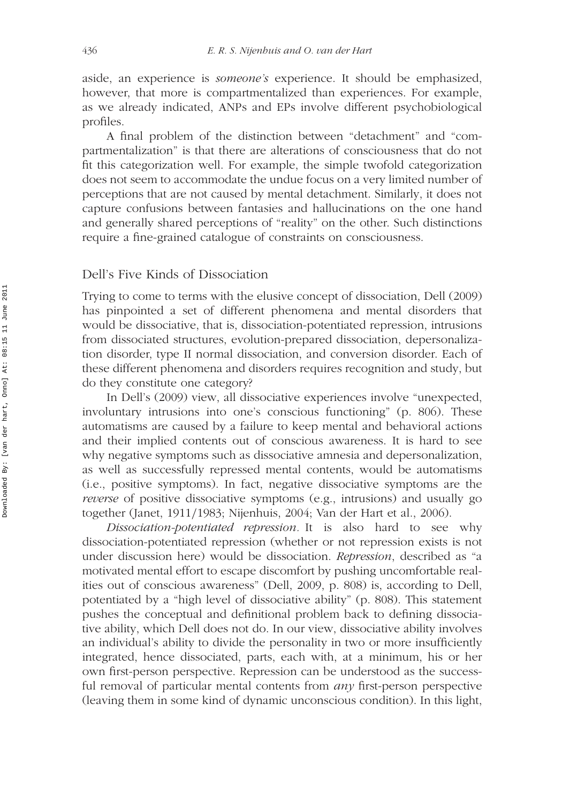aside, an experience is *someone's* experience. It should be emphasized, however, that more is compartmentalized than experiences. For example, as we already indicated, ANPs and EPs involve different psychobiological profiles.

A final problem of the distinction between "detachment" and "compartmentalization" is that there are alterations of consciousness that do not fit this categorization well. For example, the simple twofold categorization does not seem to accommodate the undue focus on a very limited number of perceptions that are not caused by mental detachment. Similarly, it does not capture confusions between fantasies and hallucinations on the one hand and generally shared perceptions of "reality" on the other. Such distinctions require a fine-grained catalogue of constraints on consciousness.

### Dell's Five Kinds of Dissociation

Trying to come to terms with the elusive concept of dissociation, Dell (2009) has pinpointed a set of different phenomena and mental disorders that would be dissociative, that is, dissociation-potentiated repression, intrusions from dissociated structures, evolution-prepared dissociation, depersonalization disorder, type II normal dissociation, and conversion disorder. Each of these different phenomena and disorders requires recognition and study, but do they constitute one category?

In Dell's (2009) view, all dissociative experiences involve "unexpected, involuntary intrusions into one's conscious functioning" (p. 806). These automatisms are caused by a failure to keep mental and behavioral actions and their implied contents out of conscious awareness. It is hard to see why negative symptoms such as dissociative amnesia and depersonalization, as well as successfully repressed mental contents, would be automatisms (i.e., positive symptoms). In fact, negative dissociative symptoms are the *reverse* of positive dissociative symptoms (e.g., intrusions) and usually go together (Janet, 1911*/*1983; Nijenhuis, 2004; Van der Hart et al., 2006).

*Dissociation-potentiated repression.* It is also hard to see why dissociation-potentiated repression (whether or not repression exists is not under discussion here) would be dissociation. *Repression*, described as "a motivated mental effort to escape discomfort by pushing uncomfortable realities out of conscious awareness" (Dell, 2009, p. 808) is, according to Dell, potentiated by a "high level of dissociative ability" (p. 808). This statement pushes the conceptual and definitional problem back to defining dissociative ability, which Dell does not do. In our view, dissociative ability involves an individual's ability to divide the personality in two or more insufficiently integrated, hence dissociated, parts, each with, at a minimum, his or her own first-person perspective. Repression can be understood as the successful removal of particular mental contents from *any* first-person perspective (leaving them in some kind of dynamic unconscious condition). In this light,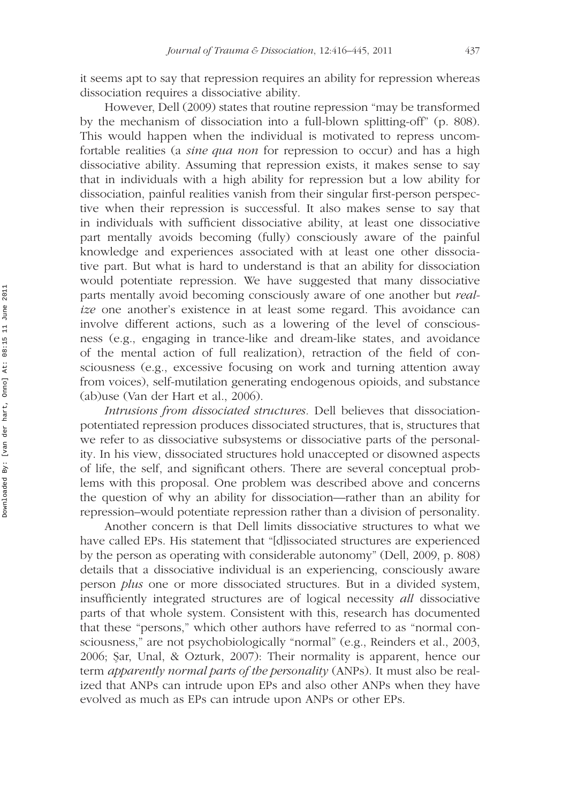it seems apt to say that repression requires an ability for repression whereas dissociation requires a dissociative ability.

However, Dell (2009) states that routine repression "may be transformed by the mechanism of dissociation into a full-blown splitting-off" (p. 808). This would happen when the individual is motivated to repress uncomfortable realities (a *sine qua non* for repression to occur) and has a high dissociative ability. Assuming that repression exists, it makes sense to say that in individuals with a high ability for repression but a low ability for dissociation, painful realities vanish from their singular first-person perspective when their repression is successful. It also makes sense to say that in individuals with sufficient dissociative ability, at least one dissociative part mentally avoids becoming (fully) consciously aware of the painful knowledge and experiences associated with at least one other dissociative part. But what is hard to understand is that an ability for dissociation would potentiate repression. We have suggested that many dissociative parts mentally avoid becoming consciously aware of one another but *realize* one another's existence in at least some regard. This avoidance can involve different actions, such as a lowering of the level of consciousness (e.g., engaging in trance-like and dream-like states, and avoidance of the mental action of full realization), retraction of the field of consciousness (e.g., excessive focusing on work and turning attention away from voices), self-mutilation generating endogenous opioids, and substance (ab)use (Van der Hart et al., 2006).

*Intrusions from dissociated structures.* Dell believes that dissociationpotentiated repression produces dissociated structures, that is, structures that we refer to as dissociative subsystems or dissociative parts of the personality. In his view, dissociated structures hold unaccepted or disowned aspects of life, the self, and significant others. There are several conceptual problems with this proposal. One problem was described above and concerns the question of why an ability for dissociation—rather than an ability for repression–would potentiate repression rather than a division of personality.

Another concern is that Dell limits dissociative structures to what we have called EPs. His statement that "[d]issociated structures are experienced by the person as operating with considerable autonomy" (Dell, 2009, p. 808) details that a dissociative individual is an experiencing, consciously aware person *plus* one or more dissociated structures. But in a divided system, insufficiently integrated structures are of logical necessity *all* dissociative parts of that whole system. Consistent with this, research has documented that these "persons," which other authors have referred to as "normal consciousness," are not psychobiologically "normal" (e.g., Reinders et al., 2003, 2006; Sar, Unal, & Ozturk, 2007): Their normality is apparent, hence our term *apparently normal parts of the personality* (ANPs). It must also be realized that ANPs can intrude upon EPs and also other ANPs when they have evolved as much as EPs can intrude upon ANPs or other EPs.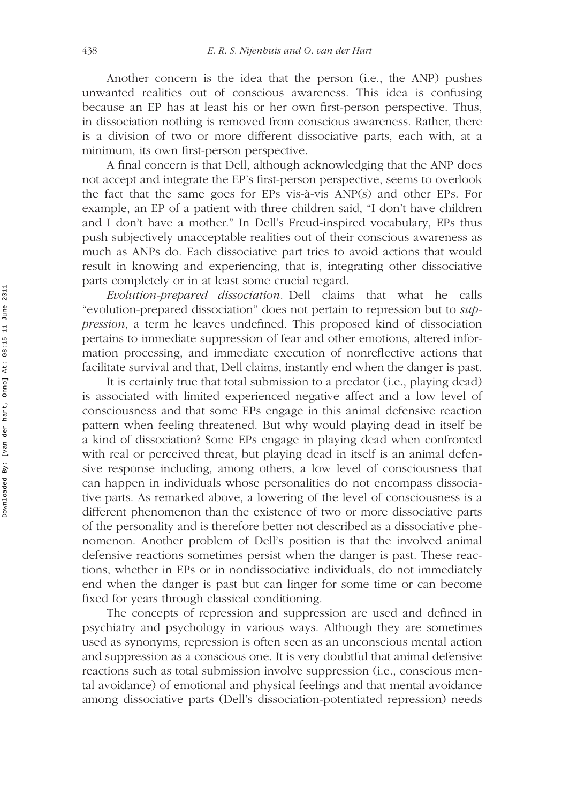Another concern is the idea that the person (i.e., the ANP) pushes unwanted realities out of conscious awareness. This idea is confusing because an EP has at least his or her own first-person perspective. Thus, in dissociation nothing is removed from conscious awareness. Rather, there is a division of two or more different dissociative parts, each with, at a minimum, its own first-person perspective.

A final concern is that Dell, although acknowledging that the ANP does not accept and integrate the EP's first-person perspective, seems to overlook the fact that the same goes for EPs vis-à-vis ANP(s) and other EPs. For example, an EP of a patient with three children said, "I don't have children and I don't have a mother." In Dell's Freud-inspired vocabulary, EPs thus push subjectively unacceptable realities out of their conscious awareness as much as ANPs do. Each dissociative part tries to avoid actions that would result in knowing and experiencing, that is, integrating other dissociative parts completely or in at least some crucial regard.

*Evolution-prepared dissociation.* Dell claims that what he calls "evolution-prepared dissociation" does not pertain to repression but to *suppression*, a term he leaves undefined. This proposed kind of dissociation pertains to immediate suppression of fear and other emotions, altered information processing, and immediate execution of nonreflective actions that facilitate survival and that, Dell claims, instantly end when the danger is past.

It is certainly true that total submission to a predator (i.e., playing dead) is associated with limited experienced negative affect and a low level of consciousness and that some EPs engage in this animal defensive reaction pattern when feeling threatened. But why would playing dead in itself be a kind of dissociation? Some EPs engage in playing dead when confronted with real or perceived threat, but playing dead in itself is an animal defensive response including, among others, a low level of consciousness that can happen in individuals whose personalities do not encompass dissociative parts. As remarked above, a lowering of the level of consciousness is a different phenomenon than the existence of two or more dissociative parts of the personality and is therefore better not described as a dissociative phenomenon. Another problem of Dell's position is that the involved animal defensive reactions sometimes persist when the danger is past. These reactions, whether in EPs or in nondissociative individuals, do not immediately end when the danger is past but can linger for some time or can become fixed for years through classical conditioning.

The concepts of repression and suppression are used and defined in psychiatry and psychology in various ways. Although they are sometimes used as synonyms, repression is often seen as an unconscious mental action and suppression as a conscious one. It is very doubtful that animal defensive reactions such as total submission involve suppression (i.e., conscious mental avoidance) of emotional and physical feelings and that mental avoidance among dissociative parts (Dell's dissociation-potentiated repression) needs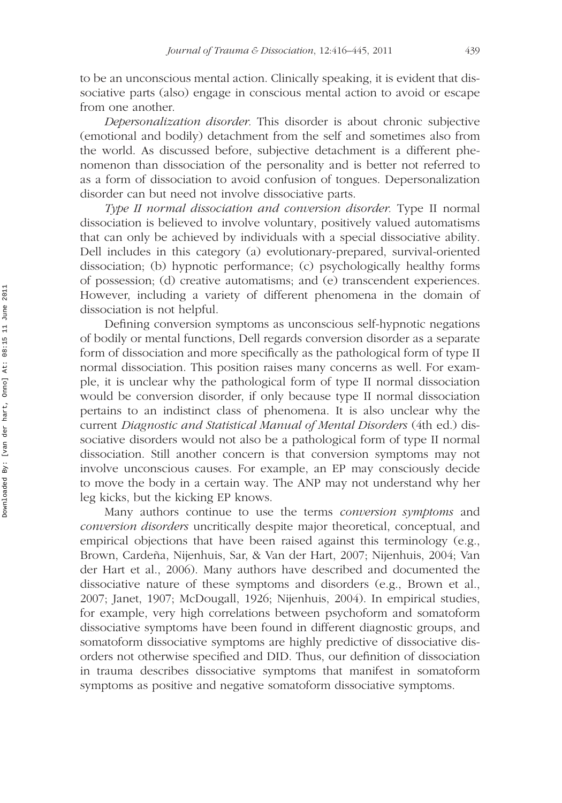to be an unconscious mental action. Clinically speaking, it is evident that dissociative parts (also) engage in conscious mental action to avoid or escape from one another.

*Depersonalization disorder.* This disorder is about chronic subjective (emotional and bodily) detachment from the self and sometimes also from the world. As discussed before, subjective detachment is a different phenomenon than dissociation of the personality and is better not referred to as a form of dissociation to avoid confusion of tongues. Depersonalization disorder can but need not involve dissociative parts.

*Type II normal dissociation and conversion disorder.* Type II normal dissociation is believed to involve voluntary, positively valued automatisms that can only be achieved by individuals with a special dissociative ability. Dell includes in this category (a) evolutionary-prepared, survival-oriented dissociation; (b) hypnotic performance; (c) psychologically healthy forms of possession; (d) creative automatisms; and (e) transcendent experiences. However, including a variety of different phenomena in the domain of dissociation is not helpful.

Defining conversion symptoms as unconscious self-hypnotic negations of bodily or mental functions, Dell regards conversion disorder as a separate form of dissociation and more specifically as the pathological form of type II normal dissociation. This position raises many concerns as well. For example, it is unclear why the pathological form of type II normal dissociation would be conversion disorder, if only because type II normal dissociation pertains to an indistinct class of phenomena. It is also unclear why the current *Diagnostic and Statistical Manual of Mental Disorders* (4th ed.) dissociative disorders would not also be a pathological form of type II normal dissociation. Still another concern is that conversion symptoms may not involve unconscious causes. For example, an EP may consciously decide to move the body in a certain way. The ANP may not understand why her leg kicks, but the kicking EP knows.

Many authors continue to use the terms *conversion symptoms* and *conversion disorders* uncritically despite major theoretical, conceptual, and empirical objections that have been raised against this terminology (e.g., Brown, Cardeña, Nijenhuis, Sar, & Van der Hart, 2007; Nijenhuis, 2004; Van der Hart et al., 2006). Many authors have described and documented the dissociative nature of these symptoms and disorders (e.g., Brown et al., 2007; Janet, 1907; McDougall, 1926; Nijenhuis, 2004). In empirical studies, for example, very high correlations between psychoform and somatoform dissociative symptoms have been found in different diagnostic groups, and somatoform dissociative symptoms are highly predictive of dissociative disorders not otherwise specified and DID. Thus, our definition of dissociation in trauma describes dissociative symptoms that manifest in somatoform symptoms as positive and negative somatoform dissociative symptoms.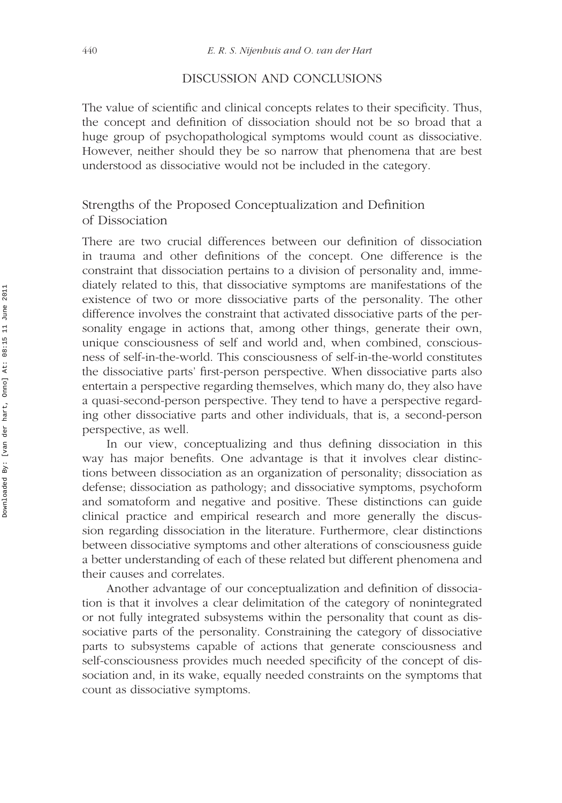### DISCUSSION AND CONCLUSIONS

The value of scientific and clinical concepts relates to their specificity. Thus, the concept and definition of dissociation should not be so broad that a huge group of psychopathological symptoms would count as dissociative. However, neither should they be so narrow that phenomena that are best understood as dissociative would not be included in the category.

### Strengths of the Proposed Conceptualization and Definition of Dissociation

There are two crucial differences between our definition of dissociation in trauma and other definitions of the concept. One difference is the constraint that dissociation pertains to a division of personality and, immediately related to this, that dissociative symptoms are manifestations of the existence of two or more dissociative parts of the personality. The other difference involves the constraint that activated dissociative parts of the personality engage in actions that, among other things, generate their own, unique consciousness of self and world and, when combined, consciousness of self-in-the-world. This consciousness of self-in-the-world constitutes the dissociative parts' first-person perspective. When dissociative parts also entertain a perspective regarding themselves, which many do, they also have a quasi-second-person perspective. They tend to have a perspective regarding other dissociative parts and other individuals, that is, a second-person perspective, as well.

In our view, conceptualizing and thus defining dissociation in this way has major benefits. One advantage is that it involves clear distinctions between dissociation as an organization of personality; dissociation as defense; dissociation as pathology; and dissociative symptoms, psychoform and somatoform and negative and positive. These distinctions can guide clinical practice and empirical research and more generally the discussion regarding dissociation in the literature. Furthermore, clear distinctions between dissociative symptoms and other alterations of consciousness guide a better understanding of each of these related but different phenomena and their causes and correlates.

Another advantage of our conceptualization and definition of dissociation is that it involves a clear delimitation of the category of nonintegrated or not fully integrated subsystems within the personality that count as dissociative parts of the personality. Constraining the category of dissociative parts to subsystems capable of actions that generate consciousness and self-consciousness provides much needed specificity of the concept of dissociation and, in its wake, equally needed constraints on the symptoms that count as dissociative symptoms.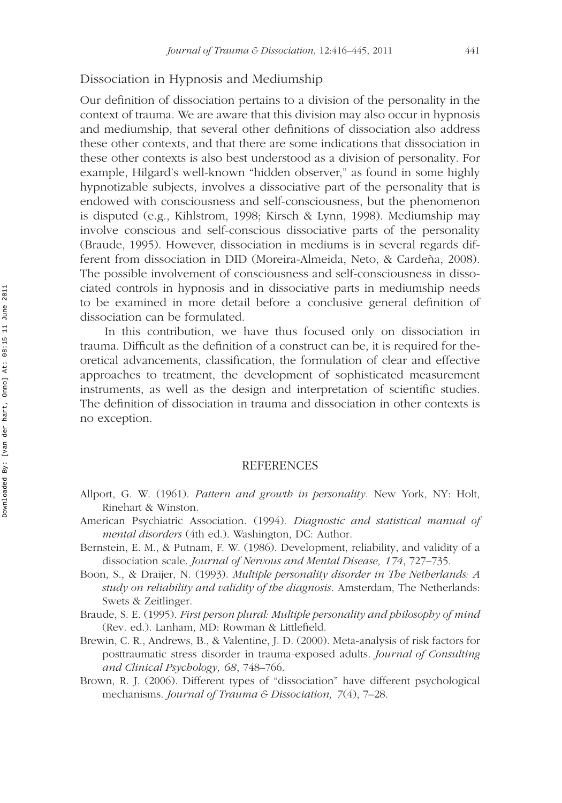### Dissociation in Hypnosis and Mediumship

Our definition of dissociation pertains to a division of the personality in the context of trauma. We are aware that this division may also occur in hypnosis and mediumship, that several other definitions of dissociation also address these other contexts, and that there are some indications that dissociation in these other contexts is also best understood as a division of personality. For example, Hilgard's well-known "hidden observer," as found in some highly hypnotizable subjects, involves a dissociative part of the personality that is endowed with consciousness and self-consciousness, but the phenomenon is disputed (e.g., Kihlstrom, 1998; Kirsch & Lynn, 1998). Mediumship may involve conscious and self-conscious dissociative parts of the personality (Braude, 1995). However, dissociation in mediums is in several regards different from dissociation in DID (Moreira-Almeida, Neto, & Cardeña, 2008). The possible involvement of consciousness and self-consciousness in dissociated controls in hypnosis and in dissociative parts in mediumship needs to be examined in more detail before a conclusive general definition of dissociation can be formulated.

In this contribution, we have thus focused only on dissociation in trauma. Difficult as the definition of a construct can be, it is required for theoretical advancements, classification, the formulation of clear and effective approaches to treatment, the development of sophisticated measurement instruments, as well as the design and interpretation of scientific studies. The definition of dissociation in trauma and dissociation in other contexts is no exception.

#### **REFERENCES**

- Allport, G. W. (1961). *Pattern and growth in personality*. New York, NY: Holt, Rinehart & Winston.
- American Psychiatric Association. (1994). *Diagnostic and statistical manual of mental disorders* (4th ed.). Washington, DC: Author.
- Bernstein, E. M., & Putnam, F. W. (1986). Development, reliability, and validity of a dissociation scale. *Journal of Nervous and Mental Disease, 174*, 727–735.
- Boon, S., & Draijer, N. (1993). *Multiple personality disorder in The Netherlands: A study on reliability and validity of the diagnosis*. Amsterdam, The Netherlands: Swets & Zeitlinger.
- Braude, S. E. (1995). *First person plural: Multiple personality and philosophy of mind* (Rev. ed.). Lanham, MD: Rowman & Littlefield.
- Brewin, C. R., Andrews, B., & Valentine, J. D. (2000). Meta-analysis of risk factors for posttraumatic stress disorder in trauma-exposed adults. *Journal of Consulting and Clinical Psychology, 68*, 748–766.
- Brown, R. J. (2006). Different types of "dissociation" have different psychological mechanisms. *Journal of Trauma & Dissociation, 7*(4), 7–28.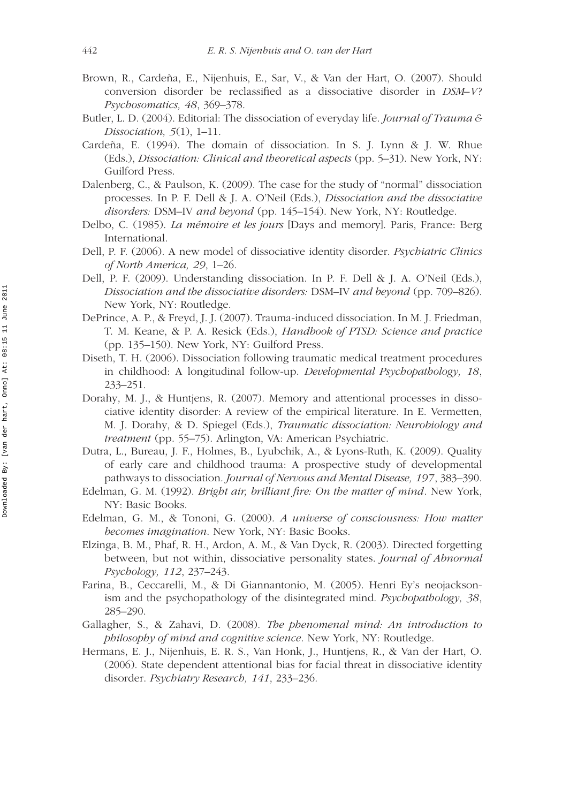- Brown, R., Cardeña, E., Nijenhuis, E., Sar, V., & Van der Hart, O. (2007). Should conversion disorder be reclassified as a dissociative disorder in *DSM–V*? *Psychosomatics, 48*, 369–378.
- Butler, L. D. (2004). Editorial: The dissociation of everyday life. *Journal of Trauma & Dissociation, 5*(1), 1–11.
- Cardeña, E. (1994). The domain of dissociation. In S. J. Lynn & J. W. Rhue (Eds.), *Dissociation: Clinical and theoretical aspects* (pp. 5–31). New York, NY: Guilford Press.
- Dalenberg, C., & Paulson, K. (2009). The case for the study of "normal" dissociation processes. In P. F. Dell & J. A. O'Neil (Eds.), *Dissociation and the dissociative disorders:* DSM–IV *and beyond* (pp. 145–154). New York, NY: Routledge.
- Delbo, C. (1985). *La mémoire et les jours* [Days and memory]. Paris, France: Berg International.
- Dell, P. F. (2006). A new model of dissociative identity disorder. *Psychiatric Clinics of North America, 29*, 1–26.
- Dell, P. F. (2009). Understanding dissociation. In P. F. Dell & J. A. O'Neil (Eds.), *Dissociation and the dissociative disorders:* DSM–IV *and beyond* (pp. 709–826). New York, NY: Routledge.
- DePrince, A. P., & Freyd, J. J. (2007). Trauma-induced dissociation. In M. J. Friedman, T. M. Keane, & P. A. Resick (Eds.), *Handbook of PTSD: Science and practice* (pp. 135–150). New York, NY: Guilford Press.
- Diseth, T. H. (2006). Dissociation following traumatic medical treatment procedures in childhood: A longitudinal follow-up. *Developmental Psychopathology, 18*, 233–251.
- Dorahy, M. J., & Huntjens, R. (2007). Memory and attentional processes in dissociative identity disorder: A review of the empirical literature. In E. Vermetten, M. J. Dorahy, & D. Spiegel (Eds.), *Traumatic dissociation: Neurobiology and treatment* (pp. 55–75). Arlington, VA: American Psychiatric.
- Dutra, L., Bureau, J. F., Holmes, B., Lyubchik, A., & Lyons-Ruth, K. (2009). Quality of early care and childhood trauma: A prospective study of developmental pathways to dissociation. *Journal of Nervous and Mental Disease, 197*, 383–390.
- Edelman, G. M. (1992). *Bright air, brilliant fire: On the matter of mind*. New York, NY: Basic Books.
- Edelman, G. M., & Tononi, G. (2000). *A universe of consciousness: How matter becomes imagination*. New York, NY: Basic Books.
- Elzinga, B. M., Phaf, R. H., Ardon, A. M., & Van Dyck, R. (2003). Directed forgetting between, but not within, dissociative personality states. *Journal of Abnormal Psychology, 112*, 237–243.
- Farina, B., Ceccarelli, M., & Di Giannantonio, M. (2005). Henri Ey's neojacksonism and the psychopathology of the disintegrated mind. *Psychopathology, 38*, 285–290.
- Gallagher, S., & Zahavi, D. (2008). *The phenomenal mind: An introduction to philosophy of mind and cognitive science*. New York, NY: Routledge.
- Hermans, E. J., Nijenhuis, E. R. S., Van Honk, J., Huntjens, R., & Van der Hart, O. (2006). State dependent attentional bias for facial threat in dissociative identity disorder. *Psychiatry Research, 141*, 233–236.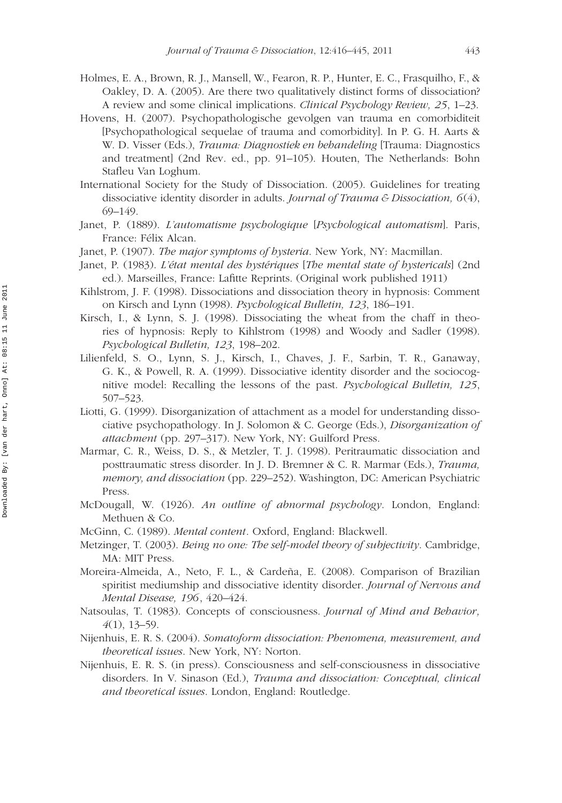- Holmes, E. A., Brown, R. J., Mansell, W., Fearon, R. P., Hunter, E. C., Frasquilho, F., & Oakley, D. A. (2005). Are there two qualitatively distinct forms of dissociation? A review and some clinical implications. *Clinical Psychology Review, 25*, 1–23.
- Hovens, H. (2007). Psychopathologische gevolgen van trauma en comorbiditeit [Psychopathological sequelae of trauma and comorbidity]. In P. G. H. Aarts & W. D. Visser (Eds.), *Trauma: Diagnostiek en behandeling* [Trauma: Diagnostics and treatment] (2nd Rev. ed., pp. 91–105). Houten, The Netherlands: Bohn Stafleu Van Loghum.
- International Society for the Study of Dissociation. (2005). Guidelines for treating dissociative identity disorder in adults. *Journal of Trauma & Dissociation, 6*(4), 69–149.
- Janet, P. (1889). *L'automatisme psychologique* [*Psychological automatism*]. Paris, France: Félix Alcan.
- Janet, P. (1907). *The major symptoms of hysteria*. New York, NY: Macmillan.
- Janet, P. (1983). *L'état mental des hystériques* [*The mental state of hystericals*] (2nd ed.). Marseilles, France: Lafitte Reprints. (Original work published 1911)
- Kihlstrom, J. F. (1998). Dissociations and dissociation theory in hypnosis: Comment on Kirsch and Lynn (1998). *Psychological Bulletin, 123*, 186–191.
- Kirsch, I., & Lynn, S. J. (1998). Dissociating the wheat from the chaff in theories of hypnosis: Reply to Kihlstrom (1998) and Woody and Sadler (1998). *Psychological Bulletin, 123*, 198–202.
- Lilienfeld, S. O., Lynn, S. J., Kirsch, I., Chaves, J. F., Sarbin, T. R., Ganaway, G. K., & Powell, R. A. (1999). Dissociative identity disorder and the sociocognitive model: Recalling the lessons of the past. *Psychological Bulletin, 125*, 507–523.
- Liotti, G. (1999). Disorganization of attachment as a model for understanding dissociative psychopathology. In J. Solomon & C. George (Eds.), *Disorganization of attachment* (pp. 297–317). New York, NY: Guilford Press.
- Marmar, C. R., Weiss, D. S., & Metzler, T. J. (1998). Peritraumatic dissociation and posttraumatic stress disorder. In J. D. Bremner & C. R. Marmar (Eds.), *Trauma, memory, and dissociation* (pp. 229–252). Washington, DC: American Psychiatric Press.
- McDougall, W. (1926). *An outline of abnormal psychology*. London, England: Methuen & Co.
- McGinn, C. (1989). *Mental content*. Oxford, England: Blackwell.
- Metzinger, T. (2003). *Being no one: The self-model theory of subjectivity*. Cambridge, MA: MIT Press.
- Moreira-Almeida, A., Neto, F. L., & Cardeña, E. (2008). Comparison of Brazilian spiritist mediumship and dissociative identity disorder. *Journal of Nervous and Mental Disease, 196*, 420–424.
- Natsoulas, T. (1983). Concepts of consciousness. *Journal of Mind and Behavior, 4*(1), 13–59.
- Nijenhuis, E. R. S. (2004). *Somatoform dissociation: Phenomena, measurement, and theoretical issues*. New York, NY: Norton.
- Nijenhuis, E. R. S. (in press). Consciousness and self-consciousness in dissociative disorders. In V. Sinason (Ed.), *Trauma and dissociation: Conceptual, clinical and theoretical issues*. London, England: Routledge.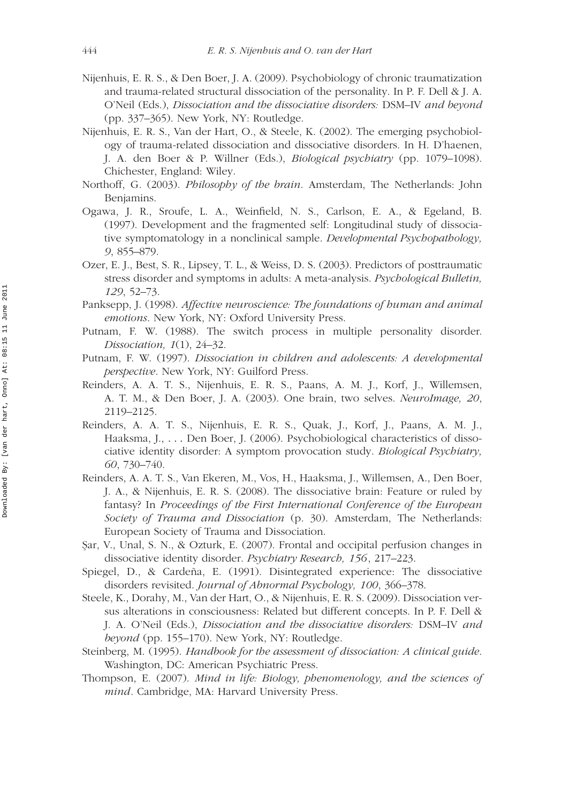- Nijenhuis, E. R. S., & Den Boer, J. A. (2009). Psychobiology of chronic traumatization and trauma-related structural dissociation of the personality. In P. F. Dell & J. A. O'Neil (Eds.), *Dissociation and the dissociative disorders:* DSM–IV *and beyond* (pp. 337–365). New York, NY: Routledge.
- Nijenhuis, E. R. S., Van der Hart, O., & Steele, K. (2002). The emerging psychobiology of trauma-related dissociation and dissociative disorders. In H. D'haenen, J. A. den Boer & P. Willner (Eds.), *Biological psychiatry* (pp. 1079–1098). Chichester, England: Wiley.
- Northoff, G. (2003). *Philosophy of the brain*. Amsterdam, The Netherlands: John Benjamins.
- Ogawa, J. R., Sroufe, L. A., Weinfield, N. S., Carlson, E. A., & Egeland, B. (1997). Development and the fragmented self: Longitudinal study of dissociative symptomatology in a nonclinical sample. *Developmental Psychopathology, 9*, 855–879.
- Ozer, E. J., Best, S. R., Lipsey, T. L., & Weiss, D. S. (2003). Predictors of posttraumatic stress disorder and symptoms in adults: A meta-analysis. *Psychological Bulletin, 129*, 52–73.
- Panksepp, J. (1998). *Affective neuroscience: The foundations of human and animal emotions*. New York, NY: Oxford University Press.
- Putnam, F. W. (1988). The switch process in multiple personality disorder. *Dissociation, 1*(1), 24–32.
- Putnam, F. W. (1997). *Dissociation in children and adolescents: A developmental perspective*. New York, NY: Guilford Press.
- Reinders, A. A. T. S., Nijenhuis, E. R. S., Paans, A. M. J., Korf, J., Willemsen, A. T. M., & Den Boer, J. A. (2003). One brain, two selves. *NeuroImage, 20*, 2119–2125.
- Reinders, A. A. T. S., Nijenhuis, E. R. S., Quak, J., Korf, J., Paans, A. M. J., Haaksma, J., *...* Den Boer, J. (2006). Psychobiological characteristics of dissociative identity disorder: A symptom provocation study. *Biological Psychiatry, 60*, 730–740.
- Reinders, A. A. T. S., Van Ekeren, M., Vos, H., Haaksma, J., Willemsen, A., Den Boer, J. A., & Nijenhuis, E. R. S. (2008). The dissociative brain: Feature or ruled by fantasy? In *Proceedings of the First International Conference of the European Society of Trauma and Dissociation* (p. 30). Amsterdam, The Netherlands: European Society of Trauma and Dissociation.
- Sar, V., Unal, S. N., & Ozturk, E. (2007). Frontal and occipital perfusion changes in dissociative identity disorder. *Psychiatry Research, 156*, 217–223.
- Spiegel, D., & Cardeña, E. (1991). Disintegrated experience: The dissociative disorders revisited. *Journal of Abnormal Psychology, 100*, 366–378.
- Steele, K., Dorahy, M., Van der Hart, O., & Nijenhuis, E. R. S. (2009). Dissociation versus alterations in consciousness: Related but different concepts. In P. F. Dell & J. A. O'Neil (Eds.), *Dissociation and the dissociative disorders:* DSM–IV *and beyond* (pp. 155–170). New York, NY: Routledge.
- Steinberg, M. (1995). *Handbook for the assessment of dissociation: A clinical guide*. Washington, DC: American Psychiatric Press.
- Thompson, E. (2007). *Mind in life: Biology, phenomenology, and the sciences of mind*. Cambridge, MA: Harvard University Press.